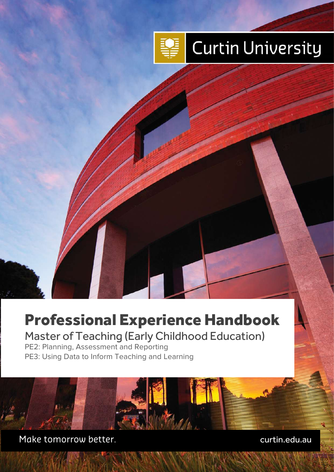

# **Curtin University**

# Professional Experience Handbook

Curtin University Professional Experience Handbooks Page 0

Master of Teaching (Early Childhood Education)

PE2: Planning, Assessment and Reporting PE3: Using Data to Inform Teaching and Learning

Make tomorrow better. *CON* **CULCE 10 CULCE 10 CULCE 10 CULCE 10 CULCE 10 CULCE 10 CULCE 10 CULCE 10 CULCE 10 CULCE 10 CULCE 10 CULCE 10 CULCE 10 CULCE 10 CULCE 10 CULCE 10 CULCE 10 CULC**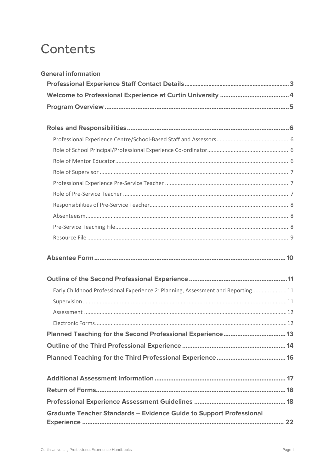### Contents

| <b>General information</b>                                                      |  |
|---------------------------------------------------------------------------------|--|
|                                                                                 |  |
|                                                                                 |  |
|                                                                                 |  |
|                                                                                 |  |
|                                                                                 |  |
|                                                                                 |  |
|                                                                                 |  |
|                                                                                 |  |
|                                                                                 |  |
|                                                                                 |  |
|                                                                                 |  |
|                                                                                 |  |
|                                                                                 |  |
|                                                                                 |  |
|                                                                                 |  |
|                                                                                 |  |
|                                                                                 |  |
|                                                                                 |  |
| Early Childhood Professional Experience 2: Planning, Assessment and Reporting11 |  |
|                                                                                 |  |
|                                                                                 |  |
|                                                                                 |  |
|                                                                                 |  |
|                                                                                 |  |
|                                                                                 |  |
|                                                                                 |  |
|                                                                                 |  |
|                                                                                 |  |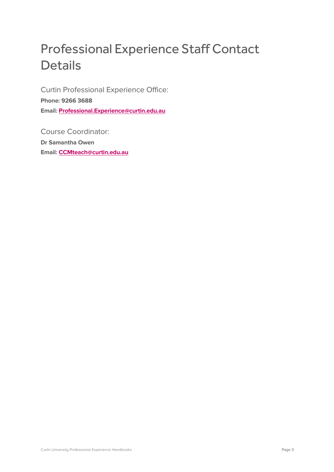## Professional Experience Staff Contact **Details**

Curtin Professional Experience Office: **Phone: 9266 3688 Email: Professional.Experience@curtin.edu.au**

Course Coordinator: **Dr Samantha Owen Email: CCMteach@curtin.edu.au**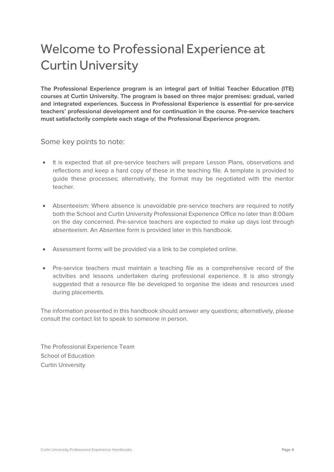### Welcome to Professional Experience at Curtin University

**The Professional Experience program is an integral part of Initial Teacher Education (ITE) courses at Curtin University. The program is based on three major premises: gradual, varied and integrated experiences. Success in Professional Experience is essential for pre-service teachers' professional development and for continuation in the course. Pre-service teachers must satisfactorily complete each stage of the Professional Experience program.**

#### Some key points to note:

- It is expected that all pre-service teachers will prepare Lesson Plans, observations and reflections and keep a hard copy of these in the teaching file. A template is provided to guide these processes; alternatively, the format may be negotiated with the mentor teacher.
- Absenteeism: Where absence is unavoidable pre-service teachers are required to notify both the School and Curtin University Professional Experience Office no later than 8:00am on the day concerned. Pre-service teachers are expected to make up days lost through absenteeism. An Absentee form is provided later in this handbook.
- Assessment forms will be provided via a link to be completed online.
- Pre-service teachers must maintain a teaching file as a comprehensive record of the activities and lessons undertaken during professional experience. It is also strongly suggested that a resource file be developed to organise the ideas and resources used during placements.

The information presented in this handbook should answer any questions; alternatively, please consult the contact list to speak to someone in person.

The Professional Experience Team School of Education Curtin University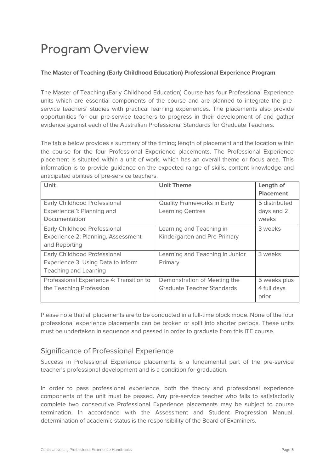### Program Overview

#### **The Master of Teaching (Early Childhood Education) Professional Experience Program**

The Master of Teaching (Early Childhood Education) Course has four Professional Experience units which are essential components of the course and are planned to integrate the preservice teachers' studies with practical learning experiences. The placements also provide opportunities for our pre-service teachers to progress in their development of and gather evidence against each of the Australian Professional Standards for Graduate Teachers.

The table below provides a summary of the timing; length of placement and the location within the course for the four Professional Experience placements. The Professional Experience placement is situated within a unit of work, which has an overall theme or focus area. This information is to provide guidance on the expected range of skills, content knowledge and anticipated abilities of pre-service teachers.

| Unit                                                                                        | <b>Unit Theme</b>                                                 | Length of<br><b>Placement</b>        |
|---------------------------------------------------------------------------------------------|-------------------------------------------------------------------|--------------------------------------|
| Early Childhood Professional<br>Experience 1: Planning and                                  | <b>Quality Frameworks in Early</b><br><b>Learning Centres</b>     | 5 distributed<br>days and 2          |
| Documentation                                                                               |                                                                   | weeks                                |
| Early Childhood Professional<br>Experience 2: Planning, Assessment<br>and Reporting         | Learning and Teaching in<br>Kindergarten and Pre-Primary          | 3 weeks                              |
| Early Childhood Professional<br>Experience 3: Using Data to Inform<br>Teaching and Learning | Learning and Teaching in Junior<br>Primary                        | 3 weeks                              |
| Professional Experience 4: Transition to<br>the Teaching Profession                         | Demonstration of Meeting the<br><b>Graduate Teacher Standards</b> | 5 weeks plus<br>4 full days<br>prior |

Please note that all placements are to be conducted in a full-time block mode. None of the four professional experience placements can be broken or split into shorter periods. These units must be undertaken in sequence and passed in order to graduate from this ITE course.

#### Significance of Professional Experience

Success in Professional Experience placements is a fundamental part of the pre-service teacher's professional development and is a condition for graduation.

In order to pass professional experience, both the theory and professional experience components of the unit must be passed. Any pre-service teacher who fails to satisfactorily complete two consecutive Professional Experience placements may be subject to course termination. In accordance with the Assessment and Student Progression Manual, determination of academic status is the responsibility of the Board of Examiners.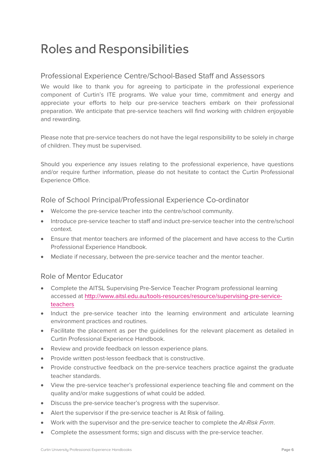### Roles and Responsibilities

#### Professional Experience Centre/School-Based Staff and Assessors

We would like to thank you for agreeing to participate in the professional experience component of Curtin's ITE programs. We value your time, commitment and energy and appreciate your efforts to help our pre-service teachers embark on their professional preparation. We anticipate that pre-service teachers will find working with children enjoyable and rewarding.

Please note that pre-service teachers do not have the legal responsibility to be solely in charge of children. They must be supervised.

Should you experience any issues relating to the professional experience, have questions and/or require further information, please do not hesitate to contact the Curtin Professional Experience Office.

#### Role of School Principal/Professional Experience Co-ordinator

- Welcome the pre-service teacher into the centre/school community.
- Introduce pre-service teacher to staff and induct pre-service teacher into the centre/school context.
- Ensure that mentor teachers are informed of the placement and have access to the Curtin Professional Experience Handbook.
- Mediate if necessary, between the pre-service teacher and the mentor teacher.

#### Role of Mentor Educator

- Complete the AITSL Supervising Pre-Service Teacher Program professional learning [accessed at http://www.aitsl.edu.au/tools-resources/resource/supervising-pre-service](http://www.aitsl.edu.au/tools-resources/resource/supervising-pre-service-teachers)teachers
- Induct the pre-service teacher into the learning environment and articulate learning environment practices and routines.
- Facilitate the placement as per the guidelines for the relevant placement as detailed in Curtin Professional Experience Handbook.
- Review and provide feedback on lesson experience plans.
- Provide written post-lesson feedback that is constructive.
- Provide constructive feedback on the pre-service teachers practice against the graduate teacher standards.
- View the pre-service teacher's professional experience teaching file and comment on the quality and/or make suggestions of what could be added.
- Discuss the pre-service teacher's progress with the supervisor.
- Alert the supervisor if the pre-service teacher is At Risk of failing.
- Work with the supervisor and the pre-service teacher to complete the At-Risk Form.
- Complete the assessment forms; sign and discuss with the pre-service teacher.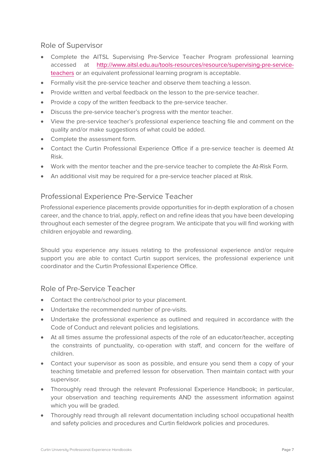#### Role of Supervisor

- Complete the AITSL Supervising Pre-Service Teacher Program professional learning accessed at [http://www.aitsl.edu.au/tools-resources/resource/supervising-pre-service](https://www.aitsl.edu.au/tools-resources/resource/supervising-pre-service-teachers)teachers or an equivalent professional learning program is acceptable.
- Formally visit the pre-service teacher and observe them teaching a lesson.
- Provide written and verbal feedback on the lesson to the pre-service teacher.
- Provide a copy of the written feedback to the pre-service teacher.
- Discuss the pre-service teacher's progress with the mentor teacher.
- View the pre-service teacher's professional experience teaching file and comment on the quality and/or make suggestions of what could be added.
- Complete the assessment form.
- Contact the Curtin Professional Experience Office if a pre-service teacher is deemed At Risk.
- Work with the mentor teacher and the pre-service teacher to complete the At-Risk Form.
- An additional visit may be required for a pre-service teacher placed at Risk.

#### Professional Experience Pre-Service Teacher

Professional experience placements provide opportunities for in-depth exploration of a chosen career, and the chance to trial, apply, reflect on and refine ideas that you have been developing throughout each semester of the degree program. We anticipate that you will find working with children enjoyable and rewarding.

Should you experience any issues relating to the professional experience and/or require support you are able to contact Curtin support services, the professional experience unit coordinator and the Curtin Professional Experience Office.

#### Role of Pre-Service Teacher

- Contact the centre/school prior to your placement.
- Undertake the recommended number of pre-visits.
- Undertake the professional experience as outlined and required in accordance with the Code of Conduct and relevant policies and legislations.
- At all times assume the professional aspects of the role of an educator/teacher, accepting the constraints of punctuality, co-operation with staff, and concern for the welfare of children.
- Contact your supervisor as soon as possible, and ensure you send them a copy of your teaching timetable and preferred lesson for observation. Then maintain contact with your supervisor.
- Thoroughly read through the relevant Professional Experience Handbook; in particular, your observation and teaching requirements AND the assessment information against which you will be graded.
- Thoroughly read through all relevant documentation including school occupational health and safety policies and procedures and Curtin fieldwork policies and procedures.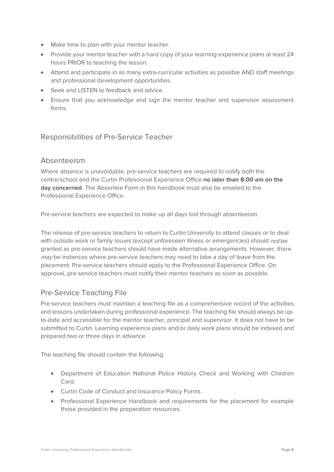- Make time to plan with your mentor teacher.
- Provide your mentor teacher with a hard copy of your learning experience plans at least 24 hours PRIOR to teaching the lesson.
- Attend and participate in as many extra-curricular activities as possible AND staff meetings and professional development opportunities.
- Seek and LISTEN to feedback and advice.
- Ensure that you acknowledge and sign the mentor teacher and supervisor assessment forms.

#### Responsibilities of Pre-Service Teacher

#### Absenteeism

Where absence is unavoidable, pre-service teachers are required to notify both the centre/school and the Curtin Professional Experience Office **no later than 8.00 am on the day concerned**. The Absentee Form in this handbook must also be emailed to the Professional Experience Office.

Pre-service teachers are expected to make up all days lost through absenteeism.

The release of pre-service teachers to return to Curtin University to attend classes or to deal with outside work or family issues (except unforeseen illness or emergencies) should not be granted as pre-service teachers should have made alternative arrangements. However, there may be instances where pre-service teachers may need to take a day of leave from the placement. Pre-service teachers should apply to the Professional Experience Office. On approval, pre-service teachers must notify their mentor teachers as soon as possible.

#### Pre-Service Teaching File

Pre-service teachers must maintain a teaching file as a comprehensive record of the activities and lessons undertaken during professional experience. The teaching file should always be upto-date and accessible for the mentor teacher, principal and supervisor. It does not have to be submitted to Curtin. Learning experience plans and/or daily work plans should be indexed and prepared two or three days in advance.

The teaching file should contain the following:

- Department of Education National Police History Check and Working with Children Card.
- Curtin Code of Conduct and Insurance Policy Forms.
- Professional Experience Handbook and requirements for the placement for example those provided in the preparation resources.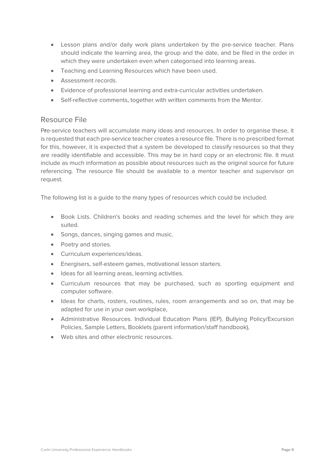- Lesson plans and/or daily work plans undertaken by the pre-service teacher. Plans should indicate the learning area, the group and the date, and be filed in the order in which they were undertaken even when categorised into learning areas.
- Teaching and Learning Resources which have been used.
- Assessment records.
- Evidence of professional learning and extra-curricular activities undertaken.
- Self-reflective comments, together with written comments from the Mentor.

#### Resource File

Pre-service teachers will accumulate many ideas and resources. In order to organise these, it is requested that each pre-service teacher creates a resource file. There is no prescribed format for this, however, it is expected that a system be developed to classify resources so that they are readily identifiable and accessible. This may be in hard copy or an electronic file. It must include as much information as possible about resources such as the original source for future referencing. The resource file should be available to a mentor teacher and supervisor on request.

The following list is a guide to the many types of resources which could be included.

- Book Lists. Children's books and reading schemes and the level for which they are suited.
- Songs, dances, singing games and music.
- Poetry and stories.
- Curriculum experiences/ideas.
- Energisers, self-esteem games, motivational lesson starters.
- Ideas for all learning areas, learning activities.
- Curriculum resources that may be purchased, such as sporting equipment and computer software.
- Ideas for charts, rosters, routines, rules, room arrangements and so on, that may be adapted for use in your own workplace,
- Administrative Resources. Individual Education Plans (IEP). Bullying Policy/Excursion Policies, Sample Letters, Booklets (parent information/staff handbook),
- Web sites and other electronic resources.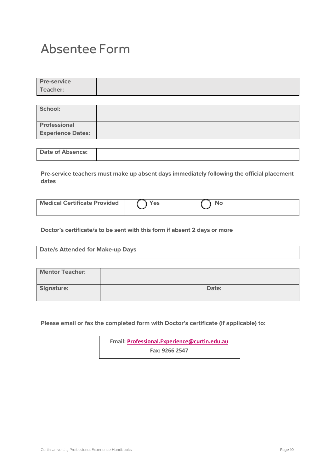### Absentee Form

| <b>Pre-service</b> |  |
|--------------------|--|
| Teacher:           |  |

| School:                  |  |
|--------------------------|--|
| Professional             |  |
| <b>Experience Dates:</b> |  |

| <b>Date of Absence:</b> |  |
|-------------------------|--|
|                         |  |

**Pre-service teachers must make up absent days immediately following the official placement dates**

| <b>Medical Certificate Provided</b> | res ' |  |
|-------------------------------------|-------|--|
|                                     |       |  |

**Doctor's certificate/s to be sent with this form if absent 2 days or more**

| Date/s Attended for Make-up Days |  |
|----------------------------------|--|
|                                  |  |

| <b>Mentor Teacher:</b> |       |  |
|------------------------|-------|--|
| Signature:             | Date: |  |

**Please email or fax the completed form with Doctor's certificate (if applicable) to:**

**Email: Professional.Experience@curtin.edu.au Fax: 9266 2547**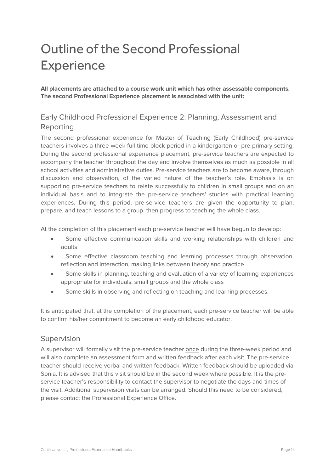## Outline of the Second Professional **Experience**

**All placements are attached to a course work unit which has other assessable components. The second Professional Experience placement is associated with the unit:**

#### Early Childhood Professional Experience 2: Planning, Assessment and Reporting

The second professional experience for Master of Teaching (Early Childhood) pre-service teachers involves a three-week full-time block period in a kindergarten or pre-primary setting. During the second professional experience placement, pre-service teachers are expected to accompany the teacher throughout the day and involve themselves as much as possible in all school activities and administrative duties. Pre-service teachers are to become aware, through discussion and observation, of the varied nature of the teacher's role. Emphasis is on supporting pre-service teachers to relate successfully to children in small groups and on an individual basis and to integrate the pre-service teachers' studies with practical learning experiences. During this period, pre-service teachers are given the opportunity to plan, prepare, and teach lessons to a group, then progress to teaching the whole class.

At the completion of this placement each pre-service teacher will have begun to develop:

- Some effective communication skills and working relationships with children and adults
- Some effective classroom teaching and learning processes through observation, reflection and interaction, making links between theory and practice
- Some skills in planning, teaching and evaluation of a variety of learning experiences appropriate for individuals, small groups and the whole class
- Some skills in observing and reflecting on teaching and learning processes.

It is anticipated that, at the completion of the placement, each pre-service teacher will be able to confirm his/her commitment to become an early childhood educator.

#### Supervision

A supervisor will formally visit the pre-service teacher once during the three-week period and will also complete an assessment form and written feedback after each visit. The pre-service teacher should receive verbal and written feedback. Written feedback should be uploaded via Sonia. It is advised that this visit should be in the second week where possible. It is the preservice teacher's responsibility to contact the supervisor to negotiate the days and times of the visit. Additional supervision visits can be arranged. Should this need to be considered, please contact the Professional Experience Office.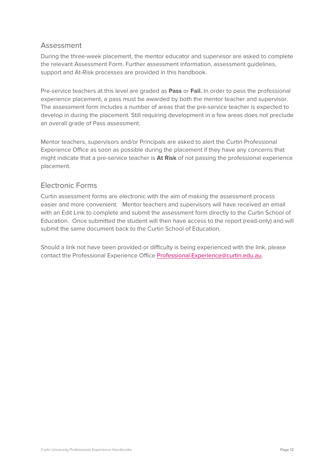#### Assessment

During the three-week placement, the mentor educator and supervisor are asked to complete the relevant Assessment Form. Further assessment information, assessment guidelines, support and At-Risk processes are provided in this handbook.

Pre-service teachers at this level are graded as **Pass** or **Fail.** In order to pass the professional experience placement, a pass must be awarded by both the mentor teacher and supervisor. The assessment form includes a number of areas that the pre-service teacher is expected to develop in during the placement. Still requiring development in a few areas does not preclude an overall grade of Pass assessment.

Mentor teachers, supervisors and/or Principals are asked to alert the Curtin Professional Experience Office as soon as possible during the placement if they have any concerns that might indicate that a pre-service teacher is **At Risk** of not passing the professional experience placement.

#### Electronic Forms

Curtin assessment forms are electronic with the aim of making the assessment process easier and more convenient. Mentor teachers and supervisors will have received an email with an Edit Link to complete and submit the assessment form directly to the Curtin School of Education. Once submitted the student will then have access to the report (read-only) and will submit the same document back to the Curtin School of Education.

Should a link not have been provided or difficulty is being experienced with the link, please contact the Professional Experience Office Professional.Experience@curtin.edu.au.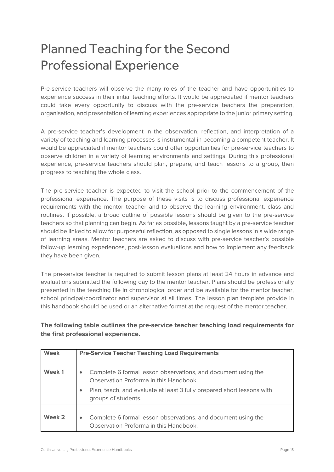### Planned Teaching for the Second Professional Experience

Pre-service teachers will observe the many roles of the teacher and have opportunities to experience success in their initial teaching efforts. It would be appreciated if mentor teachers could take every opportunity to discuss with the pre-service teachers the preparation, organisation, and presentation of learning experiences appropriate to the junior primary setting.

A pre-service teacher's development in the observation, reflection, and interpretation of a variety of teaching and learning processes is instrumental in becoming a competent teacher. It would be appreciated if mentor teachers could offer opportunities for pre-service teachers to observe children in a variety of learning environments and settings. During this professional experience, pre-service teachers should plan, prepare, and teach lessons to a group, then progress to teaching the whole class.

The pre-service teacher is expected to visit the school prior to the commencement of the professional experience. The purpose of these visits is to discuss professional experience requirements with the mentor teacher and to observe the learning environment, class and routines. If possible, a broad outline of possible lessons should be given to the pre-service teachers so that planning can begin. As far as possible, lessons taught by a pre-service teacher should be linked to allow for purposeful reflection, as opposed to single lessons in a wide range of learning areas. Mentor teachers are asked to discuss with pre-service teacher's possible follow-up learning experiences, post-lesson evaluations and how to implement any feedback they have been given.

The pre-service teacher is required to submit lesson plans at least 24 hours in advance and evaluations submitted the following day to the mentor teacher. Plans should be professionally presented in the teaching file in chronological order and be available for the mentor teacher, school principal/coordinator and supervisor at all times. The lesson plan template provide in this handbook should be used or an alternative format at the request of the mentor teacher.

#### **The following table outlines the pre-service teacher teaching load requirements for the first professional experience.**

| Week   | <b>Pre-Service Teacher Teaching Load Requirements</b>                                                                                                                                                    |  |  |
|--------|----------------------------------------------------------------------------------------------------------------------------------------------------------------------------------------------------------|--|--|
| Week 1 | Complete 6 formal lesson observations, and document using the<br>Observation Proforma in this Handbook.<br>Plan, teach, and evaluate at least 3 fully prepared short lessons with<br>groups of students. |  |  |
| Week 2 | Complete 6 formal lesson observations, and document using the<br>$\bullet$<br>Observation Proforma in this Handbook.                                                                                     |  |  |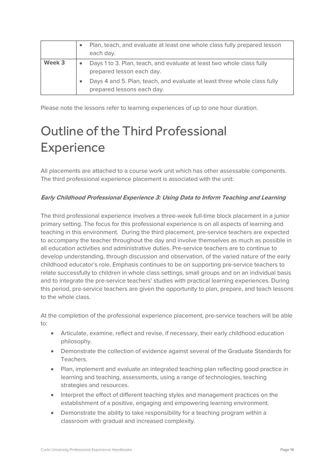|        | Plan, teach, and evaluate at least one whole class fully prepared lesson<br>each day.                  |
|--------|--------------------------------------------------------------------------------------------------------|
| Week 3 | Days 1 to 3. Plan, teach, and evaluate at least two whole class fully<br>prepared lesson each day.     |
|        | Days 4 and 5. Plan, teach, and evaluate at least three whole class fully<br>prepared lessons each day. |

Please note the lessons refer to learning experiences of up to one hour duration.

### Outline of the Third Professional **Experience**

All placements are attached to a course work unit which has other assessable components. The third professional experience placement is associated with the unit:

#### **Early Childhood Professional Experience 3: Using Data to Inform Teaching and Learning**

The third professional experience involves a three-week full-time block placement in a junior primary setting. The focus for this professional experience is on all aspects of learning and teaching in this environment. During the third placement, pre-service teachers are expected to accompany the teacher throughout the day and involve themselves as much as possible in all education activities and administrative duties. Pre-service teachers are to continue to develop understanding, through discussion and observation, of the varied nature of the early childhood educator's role. Emphasis continues to be on supporting pre-service teachers to relate successfully to children in whole class settings, small groups and on an individual basis and to integrate the pre-service teachers' studies with practical learning experiences. During this period, pre-service teachers are given the opportunity to plan, prepare, and teach lessons to the whole class.

At the completion of the professional experience placement, pre-service teachers will be able to:

- Articulate, examine, reflect and revise, if necessary, their early childhood education philosophy.
- Demonstrate the collection of evidence against several of the Graduate Standards for Teachers.
- Plan, implement and evaluate an integrated teaching plan reflecting good practice in learning and teaching, assessments, using a range of technologies, teaching strategies and resources.
- Interpret the effect of different teaching styles and management practices on the establishment of a positive, engaging and empowering learning environment.
- Demonstrate the ability to take responsibility for a teaching program within a classroom with gradual and increased complexity.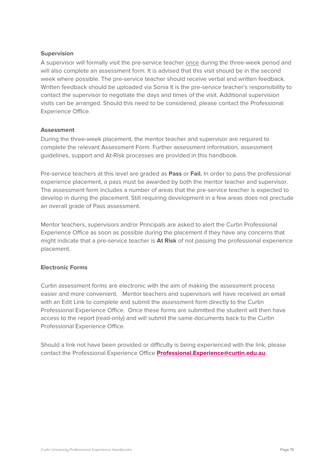#### **Supervision**

A supervisor will formally visit the pre-service teacher once during the three-week period and will also complete an assessment form. It is advised that this visit should be in the second week where possible. The pre-service teacher should receive verbal and written feedback. Written feedback should be uploaded via Sonia It is the pre-service teacher's responsibility to contact the supervisor to negotiate the days and times of the visit. Additional supervision visits can be arranged. Should this need to be considered, please contact the Professional Experience Office.

#### **Assessment**

During the three-week placement, the mentor teacher and supervisor are required to complete the relevant Assessment Form. Further assessment information, assessment guidelines, support and At-Risk processes are provided in this handbook.

Pre-service teachers at this level are graded as **Pass** or **Fail.** In order to pass the professional experience placement, a pass must be awarded by both the mentor teacher and supervisor. The assessment form includes a number of areas that the pre-service teacher is expected to develop in during the placement. Still requiring development in a few areas does not preclude an overall grade of Pass assessment.

Mentor teachers, supervisors and/or Principals are asked to alert the Curtin Professional Experience Office as soon as possible during the placement if they have any concerns that might indicate that a pre-service teacher is **At Risk** of not passing the professional experience placement.

#### **Electronic Forms**

Curtin assessment forms are electronic with the aim of making the assessment process easier and more convenient. Mentor teachers and supervisors will have received an email with an Edit Link to complete and submit the assessment form directly to the Curtin Professional Experience Office. Once these forms are submitted the student will then have access to the report (read-only) and will submit the same documents back to the Curtin Professional Experience Office.

Should a link not have been provided or difficulty is being experienced with the link, please contact the Professional Experience Office **Professional.Experience@curtin.edu.au**.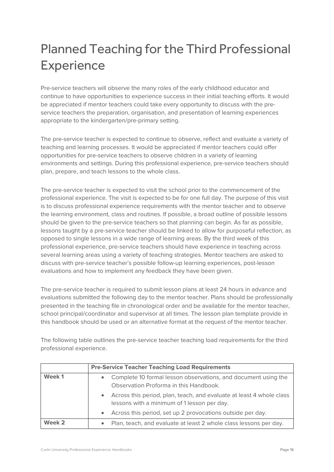## Planned Teaching for the Third Professional **Experience**

Pre-service teachers will observe the many roles of the early childhood educator and continue to have opportunities to experience success in their initial teaching efforts. It would be appreciated if mentor teachers could take every opportunity to discuss with the preservice teachers the preparation, organisation, and presentation of learning experiences appropriate to the kindergarten/pre-primary setting.

The pre-service teacher is expected to continue to observe, reflect and evaluate a variety of teaching and learning processes. It would be appreciated if mentor teachers could offer opportunities for pre-service teachers to observe children in a variety of learning environments and settings. During this professional experience, pre-service teachers should plan, prepare, and teach lessons to the whole class.

The pre-service teacher is expected to visit the school prior to the commencement of the professional experience. The visit is expected to be for one full day. The purpose of this visit is to discuss professional experience requirements with the mentor teacher and to observe the learning environment, class and routines. If possible, a broad outline of possible lessons should be given to the pre-service teachers so that planning can begin. As far as possible, lessons taught by a pre-service teacher should be linked to allow for purposeful reflection, as opposed to single lessons in a wide range of learning areas. By the third week of this professional experience, pre-service teachers should have experience in teaching across several learning areas using a variety of teaching strategies. Mentor teachers are asked to discuss with pre-service teacher's possible follow-up learning experiences, post-lesson evaluations and how to implement any feedback they have been given.

The pre-service teacher is required to submit lesson plans at least 24 hours in advance and evaluations submitted the following day to the mentor teacher. Plans should be professionally presented in the teaching file in chronological order and be available for the mentor teacher, school principal/coordinator and supervisor at all times. The lesson plan template provide in this handbook should be used or an alternative format at the request of the mentor teacher.

The following table outlines the pre-service teacher teaching load requirements for the third professional experience.

|                   | <b>Pre-Service Teacher Teaching Load Requirements</b>                                                                            |  |
|-------------------|----------------------------------------------------------------------------------------------------------------------------------|--|
| Week <sub>1</sub> | Complete 10 formal lesson observations, and document using the<br>$\bullet$<br>Observation Proforma in this Handbook.            |  |
|                   | Across this period, plan, teach, and evaluate at least 4 whole class<br>$\bullet$<br>lessons with a minimum of 1 lesson per day. |  |
|                   | Across this period, set up 2 provocations outside per day.<br>$\bullet$                                                          |  |
| Week 2            | Plan, teach, and evaluate at least 2 whole class lessons per day.<br>۰                                                           |  |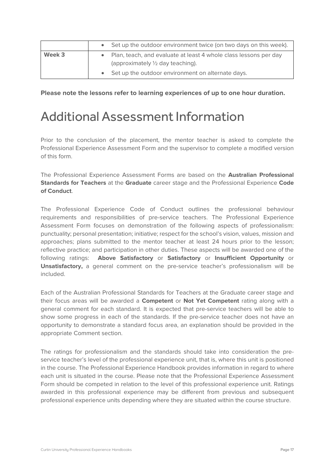|        | Set up the outdoor environment twice (on two days on this week).                                                |
|--------|-----------------------------------------------------------------------------------------------------------------|
| Week 3 | Plan, teach, and evaluate at least 4 whole class lessons per day<br>(approximately $\frac{1}{2}$ day teaching). |
|        | Set up the outdoor environment on alternate days.                                                               |

**Please note the lessons refer to learning experiences of up to one hour duration.**

### Additional Assessment Information

Prior to the conclusion of the placement, the mentor teacher is asked to complete the Professional Experience Assessment Form and the supervisor to complete a modified version of this form.

The Professional Experience Assessment Forms are based on the **Australian Professional Standards for Teachers** at the **Graduate** career stage and the Professional Experience **Code of Conduct**.

The Professional Experience Code of Conduct outlines the professional behaviour requirements and responsibilities of pre-service teachers. The Professional Experience Assessment Form focuses on demonstration of the following aspects of professionalism: punctuality; personal presentation; initiative; respect for the school's vision, values, mission and approaches; plans submitted to the mentor teacher at least 24 hours prior to the lesson; reflective practice; and participation in other duties. These aspects will be awarded one of the following ratings: **Above Satisfactory** or **Satisfactory** or **Insufficient Opportunity** or **Unsatisfactory,** a general comment on the pre-service teacher's professionalism will be included.

Each of the Australian Professional Standards for Teachers at the Graduate career stage and their focus areas will be awarded a **Competent** or **Not Yet Competent** rating along with a general comment for each standard. It is expected that pre-service teachers will be able to show some progress in each of the standards. If the pre-service teacher does not have an opportunity to demonstrate a standard focus area, an explanation should be provided in the appropriate Comment section.

The ratings for professionalism and the standards should take into consideration the preservice teacher's level of the professional experience unit, that is, where this unit is positioned in the course. The Professional Experience Handbook provides information in regard to where each unit is situated in the course. Please note that the Professional Experience Assessment Form should be competed in relation to the level of this professional experience unit. Ratings awarded in this professional experience may be different from previous and subsequent professional experience units depending where they are situated within the course structure.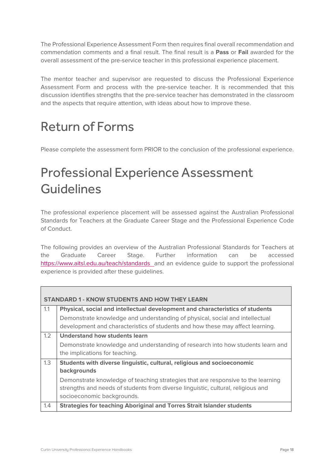The Professional Experience Assessment Form then requires final overall recommendation and commendation comments and a final result. The final result is a **Pass** or **Fail** awarded for the overall assessment of the pre-service teacher in this professional experience placement.

The mentor teacher and supervisor are requested to discuss the Professional Experience Assessment Form and process with the pre-service teacher. It is recommended that this discussion identifies strengths that the pre-service teacher has demonstrated in the classroom and the aspects that require attention, with ideas about how to improve these.

### Return of Forms

Please complete the assessment form PRIOR to the conclusion of the professional experience.

### Professional Experience Assessment **Guidelines**

The professional experience placement will be assessed against the Australian Professional Standards for Teachers at the Graduate Career Stage and the Professional Experience Code of Conduct.

The following provides an overview of the Australian Professional Standards for Teachers at the Graduate Career Stage. Further information can be accessed https://www.aitsl.edu.au/teach/standards and an evidence guide to support the professional experience is provided after these guidelines.

|     | <b>STANDARD 1 - KNOW STUDENTS AND HOW THEY LEARN</b>                             |
|-----|----------------------------------------------------------------------------------|
| 1.1 | Physical, social and intellectual development and characteristics of students    |
|     | Demonstrate knowledge and understanding of physical, social and intellectual     |
|     | development and characteristics of students and how these may affect learning.   |
| 1.2 | Understand how students learn                                                    |
|     | Demonstrate knowledge and understanding of research into how students learn and  |
|     | the implications for teaching.                                                   |
| 1.3 | Students with diverse linguistic, cultural, religious and socioeconomic          |
|     | backgrounds                                                                      |
|     | Demonstrate knowledge of teaching strategies that are responsive to the learning |
|     | strengths and needs of students from diverse linguistic, cultural, religious and |
|     | socioeconomic backgrounds.                                                       |
| 1.4 | <b>Strategies for teaching Aboriginal and Torres Strait Islander students</b>    |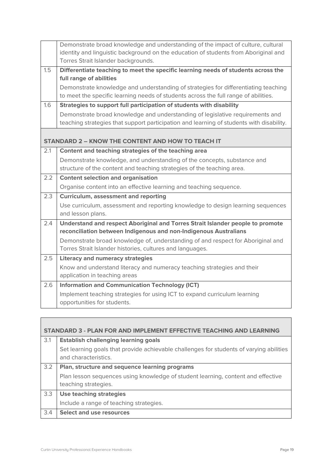|     | Demonstrate broad knowledge and understanding of the impact of culture, cultural<br>identity and linguistic background on the education of students from Aboriginal and<br>Torres Strait Islander backgrounds. |
|-----|----------------------------------------------------------------------------------------------------------------------------------------------------------------------------------------------------------------|
| 1.5 | Differentiate teaching to meet the specific learning needs of students across the                                                                                                                              |
|     | full range of abilities                                                                                                                                                                                        |
|     | Demonstrate knowledge and understanding of strategies for differentiating teaching<br>to meet the specific learning needs of students across the full range of abilities.                                      |
| 1.6 | Strategies to support full participation of students with disability                                                                                                                                           |
|     | Demonstrate broad knowledge and understanding of legislative requirements and<br>teaching strategies that support participation and learning of students with disability.                                      |
|     | <b>STANDARD 2 - KNOW THE CONTENT AND HOW TO TEACH IT</b>                                                                                                                                                       |
| 2.1 | Content and teaching strategies of the teaching area                                                                                                                                                           |
|     | Demonstrate knowledge, and understanding of the concepts, substance and                                                                                                                                        |
|     | structure of the content and teaching strategies of the teaching area.                                                                                                                                         |
|     |                                                                                                                                                                                                                |
| 2.2 | <b>Content selection and organisation</b>                                                                                                                                                                      |
|     | Organise content into an effective learning and teaching sequence.                                                                                                                                             |
| 2.3 | <b>Curriculum, assessment and reporting</b>                                                                                                                                                                    |
|     | Use curriculum, assessment and reporting knowledge to design learning sequences                                                                                                                                |
|     | and lesson plans.                                                                                                                                                                                              |
| 2.4 | Understand and respect Aboriginal and Torres Strait Islander people to promote                                                                                                                                 |
|     | reconciliation between Indigenous and non-Indigenous Australians                                                                                                                                               |
|     | Demonstrate broad knowledge of, understanding of and respect for Aboriginal and                                                                                                                                |
|     | Torres Strait Islander histories, cultures and languages.                                                                                                                                                      |
| 2.5 | <b>Literacy and numeracy strategies</b>                                                                                                                                                                        |
|     | Know and understand literacy and numeracy teaching strategies and their                                                                                                                                        |
|     | application in teaching areas                                                                                                                                                                                  |
| 2.6 | <b>Information and Communication Technology (ICT)</b>                                                                                                                                                          |
|     | Implement teaching strategies for using ICT to expand curriculum learning<br>opportunities for students.                                                                                                       |

|     | STANDARD 3 - PLAN FOR AND IMPLEMENT EFFECTIVE TEACHING AND LEARNING                                             |  |  |  |
|-----|-----------------------------------------------------------------------------------------------------------------|--|--|--|
| 3.1 | <b>Establish challenging learning goals</b>                                                                     |  |  |  |
|     | Set learning goals that provide achievable challenges for students of varying abilities<br>and characteristics. |  |  |  |
| 3.2 | Plan, structure and sequence learning programs                                                                  |  |  |  |
|     | Plan lesson sequences using knowledge of student learning, content and effective                                |  |  |  |
|     | teaching strategies.                                                                                            |  |  |  |
| 3.3 | <b>Use teaching strategies</b>                                                                                  |  |  |  |
|     | Include a range of teaching strategies.                                                                         |  |  |  |
| 3.4 | Select and use resources                                                                                        |  |  |  |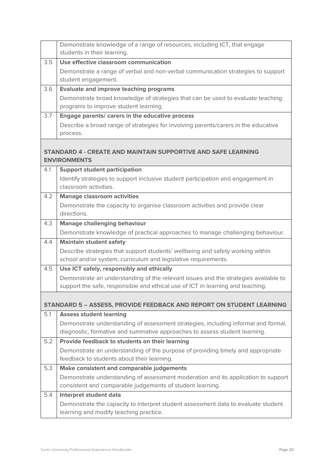|     | Demonstrate knowledge of a range of resources, including ICT, that engage<br>students in their learning.                                                              |
|-----|-----------------------------------------------------------------------------------------------------------------------------------------------------------------------|
| 3.5 | Use effective classroom communication                                                                                                                                 |
|     | Demonstrate a range of verbal and non-verbal communication strategies to support<br>student engagement.                                                               |
| 3.6 | <b>Evaluate and improve teaching programs</b>                                                                                                                         |
|     | Demonstrate broad knowledge of strategies that can be used to evaluate teaching                                                                                       |
|     | programs to improve student learning.                                                                                                                                 |
| 3.7 | Engage parents/ carers in the educative process                                                                                                                       |
|     | Describe a broad range of strategies for involving parents/carers in the educative                                                                                    |
|     | process.                                                                                                                                                              |
|     | STANDARD 4 - CREATE AND MAINTAIN SUPPORTIVE AND SAFE LEARNING<br><b>ENVIRONMENTS</b>                                                                                  |
| 4.1 | <b>Support student participation</b>                                                                                                                                  |
|     | Identify strategies to support inclusive student participation and engagement in<br>classroom activities.                                                             |
| 4.2 | <b>Manage classroom activities</b>                                                                                                                                    |
|     | Demonstrate the capacity to organise classroom activities and provide clear<br>directions.                                                                            |
| 4.3 |                                                                                                                                                                       |
|     | <b>Manage challenging behaviour</b><br>Demonstrate knowledge of practical approaches to manage challenging behaviour.                                                 |
| 4.4 | <b>Maintain student safety</b>                                                                                                                                        |
|     | Describe strategies that support students' wellbeing and safety working within                                                                                        |
|     | school and/or system, curriculum and legislative requirements.                                                                                                        |
| 4.5 | Use ICT safely, responsibly and ethically                                                                                                                             |
|     | Demonstrate an understanding of the relevant issues and the strategies available to<br>support the safe, responsible and ethical use of ICT in learning and teaching. |
|     | <b>STANDARD 5 - ASSESS, PROVIDE FEEDBACK AND REPORT ON STUDENT LEARNING</b>                                                                                           |
| 5.1 | <b>Assess student learning</b>                                                                                                                                        |
|     | Demonstrate understanding of assessment strategies, including informal and formal,                                                                                    |
|     | diagnostic, formative and summative approaches to assess student learning.                                                                                            |
| 5.2 | Provide feedback to students on their learning                                                                                                                        |
|     | Demonstrate an understanding of the purpose of providing timely and appropriate<br>feedback to students about their learning.                                         |
| 5.3 | Make consistent and comparable judgements                                                                                                                             |
|     | Demonstrate understanding of assessment moderation and its application to support                                                                                     |
|     | consistent and comparable judgements of student learning.                                                                                                             |
| 5.4 | Interpret student data                                                                                                                                                |
|     | Demonstrate the capacity to interpret student assessment data to evaluate student<br>learning and modify teaching practice.                                           |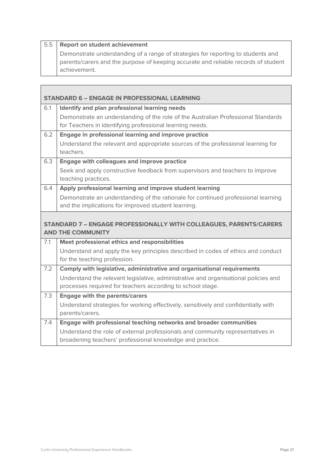#### 5.5 **Report on student achievement**

Demonstrate understanding of a range of strategies for reporting to students and parents/carers and the purpose of keeping accurate and reliable records of student achievement.

|     | <b>STANDARD 6 - ENGAGE IN PROFESSIONAL LEARNING</b>                                 |
|-----|-------------------------------------------------------------------------------------|
| 6.1 | Identify and plan professional learning needs                                       |
|     | Demonstrate an understanding of the role of the Australian Professional Standards   |
|     | for Teachers in identifying professional learning needs.                            |
| 6.2 | Engage in professional learning and improve practice                                |
|     | Understand the relevant and appropriate sources of the professional learning for    |
|     | teachers.                                                                           |
| 6.3 | Engage with colleagues and improve practice                                         |
|     | Seek and apply constructive feedback from supervisors and teachers to improve       |
|     | teaching practices.                                                                 |
| 6.4 | Apply professional learning and improve student learning                            |
|     | Demonstrate an understanding of the rationale for continued professional learning   |
|     | and the implications for improved student learning.                                 |
|     |                                                                                     |
|     | STANDARD 7 - ENGAGE PROFESSIONALLY WITH COLLEAGUES, PARENTS/CARERS                  |
|     | <b>AND THE COMMUNITY</b>                                                            |
| 7.1 | Meet professional ethics and responsibilities                                       |
|     | Understand and apply the key principles described in codes of ethics and conduct    |
|     | for the teaching profession.                                                        |
| 7.2 | Comply with legislative, administrative and organisational requirements             |
|     | Understand the relevant legislative, administrative and organisational policies and |
|     | processes required for teachers according to school stage.                          |
| 7.3 | <b>Engage with the parents/carers</b>                                               |
|     | Understand strategies for working effectively, sensitively and confidentially with  |
|     | parents/carers.                                                                     |
| 7.4 | Engage with professional teaching networks and broader communities                  |
|     | Understand the role of external professionals and community representatives in      |
|     | broadening teachers' professional knowledge and practice.                           |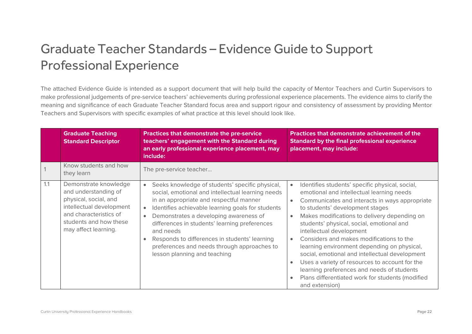## Graduate Teacher Standards – Evidence Guide to Support Professional Experience

The attached Evidence Guide is intended as a support document that will help build the capacity of Mentor Teachers and Curtin Supervisors to make professional judgements of pre-service teachers' achievements during professional experience placements. The evidence aims to clarify the meaning and significance of each Graduate Teacher Standard focus area and support rigour and consistency of assessment by providing Mentor Teachers and Supervisors with specific examples of what practice at this level should look like.

|     | <b>Graduate Teaching</b><br><b>Standard Descriptor</b>                                                                                                                         | <b>Practices that demonstrate the pre-service</b><br>teachers' engagement with the Standard during<br>an early professional experience placement, may<br>include:                                                                                                                                                                                                                                                                                         | <b>Practices that demonstrate achievement of the</b><br><b>Standard by the final professional experience</b><br>placement, may include:                                                                                                                                                                                                                                                                                                                                                                                                                                                                                                                                                                     |
|-----|--------------------------------------------------------------------------------------------------------------------------------------------------------------------------------|-----------------------------------------------------------------------------------------------------------------------------------------------------------------------------------------------------------------------------------------------------------------------------------------------------------------------------------------------------------------------------------------------------------------------------------------------------------|-------------------------------------------------------------------------------------------------------------------------------------------------------------------------------------------------------------------------------------------------------------------------------------------------------------------------------------------------------------------------------------------------------------------------------------------------------------------------------------------------------------------------------------------------------------------------------------------------------------------------------------------------------------------------------------------------------------|
|     | Know students and how<br>they learn                                                                                                                                            | The pre-service teacher                                                                                                                                                                                                                                                                                                                                                                                                                                   |                                                                                                                                                                                                                                                                                                                                                                                                                                                                                                                                                                                                                                                                                                             |
| 1.1 | Demonstrate knowledge<br>and understanding of<br>physical, social, and<br>intellectual development<br>and characteristics of<br>students and how these<br>may affect learning. | Seeks knowledge of students' specific physical,<br>$\bullet$<br>social, emotional and intellectual learning needs<br>in an appropriate and respectful manner<br>Identifies achievable learning goals for students<br>Demonstrates a developing awareness of<br>differences in students' learning preferences<br>and needs<br>Responds to differences in students' learning<br>preferences and needs through approaches to<br>lesson planning and teaching | Identifies students' specific physical, social,<br>$\bullet$<br>emotional and intellectual learning needs<br>Communicates and interacts in ways appropriate<br>$\bullet$<br>to students' development stages<br>Makes modifications to delivery depending on<br>$\bullet$<br>students' physical, social, emotional and<br>intellectual development<br>Considers and makes modifications to the<br>$\bullet$<br>learning environment depending on physical,<br>social, emotional and intellectual development<br>Uses a variety of resources to account for the<br>$\bullet$<br>learning preferences and needs of students<br>Plans differentiated work for students (modified<br>$\bullet$<br>and extension) |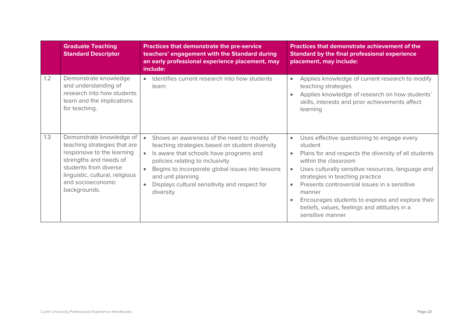|     | <b>Graduate Teaching</b><br><b>Standard Descriptor</b>                                                                                                                                                            | Practices that demonstrate the pre-service<br>teachers' engagement with the Standard during<br>an early professional experience placement, may<br>include:                                                                                                                                                       | <b>Practices that demonstrate achievement of the</b><br><b>Standard by the final professional experience</b><br>placement, may include:                                                                                                                                                                                                                                                                                                                |
|-----|-------------------------------------------------------------------------------------------------------------------------------------------------------------------------------------------------------------------|------------------------------------------------------------------------------------------------------------------------------------------------------------------------------------------------------------------------------------------------------------------------------------------------------------------|--------------------------------------------------------------------------------------------------------------------------------------------------------------------------------------------------------------------------------------------------------------------------------------------------------------------------------------------------------------------------------------------------------------------------------------------------------|
| 1.2 | Demonstrate knowledge<br>and understanding of<br>research into how students<br>learn and the implications<br>for teaching.                                                                                        | Identifies current research into how students<br>learn                                                                                                                                                                                                                                                           | Applies knowledge of current research to modify<br>$\bullet$<br>teaching strategies<br>Applies knowledge of research on how students'<br>$\bullet$<br>skills, interests and prior achievements affect<br>learning                                                                                                                                                                                                                                      |
| 1.3 | Demonstrate knowledge of<br>teaching strategies that are<br>responsive to the learning<br>strengths and needs of<br>students from diverse<br>linguistic, cultural, religious<br>and socioeconomic<br>backgrounds. | Shows an awareness of the need to modify<br>teaching strategies based on student diversity<br>Is aware that schools have programs and<br>policies relating to inclusivity<br>Begins to incorporate global issues into lessons<br>and unit planning<br>Displays cultural sensitivity and respect for<br>diversity | Uses effective questioning to engage every<br>$\bullet$<br>student<br>Plans for and respects the diversity of all students<br>$\bullet$<br>within the classroom<br>Uses culturally sensitive resources, language and<br>$\bullet$<br>strategies in teaching practice<br>Presents controversial issues in a sensitive<br>manner<br>Encourages students to express and explore their<br>beliefs, values, feelings and attitudes in a<br>sensitive manner |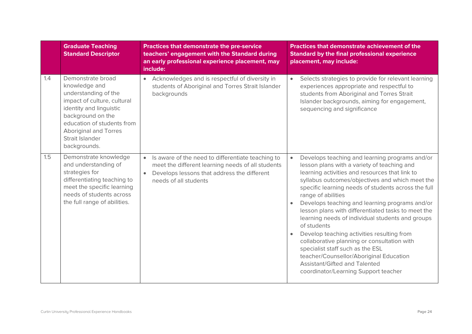|     | <b>Graduate Teaching</b><br><b>Standard Descriptor</b>                                                                                                                                                                                     | Practices that demonstrate the pre-service<br>teachers' engagement with the Standard during<br>an early professional experience placement, may<br>include:                                  | <b>Practices that demonstrate achievement of the</b><br><b>Standard by the final professional experience</b><br>placement, may include:                                                                                                                                                                                                                                                                                                                                                                                                                                                                                                                                                                                             |
|-----|--------------------------------------------------------------------------------------------------------------------------------------------------------------------------------------------------------------------------------------------|---------------------------------------------------------------------------------------------------------------------------------------------------------------------------------------------|-------------------------------------------------------------------------------------------------------------------------------------------------------------------------------------------------------------------------------------------------------------------------------------------------------------------------------------------------------------------------------------------------------------------------------------------------------------------------------------------------------------------------------------------------------------------------------------------------------------------------------------------------------------------------------------------------------------------------------------|
| 1.4 | Demonstrate broad<br>knowledge and<br>understanding of the<br>impact of culture, cultural<br>identity and linguistic<br>background on the<br>education of students from<br><b>Aboriginal and Torres</b><br>Strait Islander<br>backgrounds. | Acknowledges and is respectful of diversity in<br>$\bullet$<br>students of Aboriginal and Torres Strait Islander<br>backgrounds                                                             | Selects strategies to provide for relevant learning<br>$\bullet$<br>experiences appropriate and respectful to<br>students from Aboriginal and Torres Strait<br>Islander backgrounds, aiming for engagement,<br>sequencing and significance                                                                                                                                                                                                                                                                                                                                                                                                                                                                                          |
| 1.5 | Demonstrate knowledge<br>and understanding of<br>strategies for<br>differentiating teaching to<br>meet the specific learning<br>needs of students across<br>the full range of abilities.                                                   | Is aware of the need to differentiate teaching to<br>$\bullet$<br>meet the different learning needs of all students<br>Develops lessons that address the different<br>needs of all students | Develops teaching and learning programs and/or<br>$\bullet$<br>lesson plans with a variety of teaching and<br>learning activities and resources that link to<br>syllabus outcomes/objectives and which meet the<br>specific learning needs of students across the full<br>range of abilities<br>Develops teaching and learning programs and/or<br>lesson plans with differentiated tasks to meet the<br>learning needs of individual students and groups<br>of students<br>Develop teaching activities resulting from<br>collaborative planning or consultation with<br>specialist staff such as the ESL<br>teacher/Counsellor/Aboriginal Education<br><b>Assistant/Gifted and Talented</b><br>coordinator/Learning Support teacher |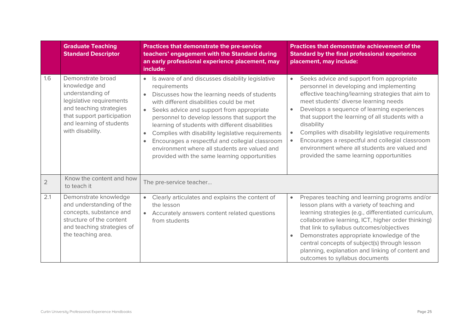|            | <b>Graduate Teaching</b><br><b>Standard Descriptor</b>                                                                                                                                      | Practices that demonstrate the pre-service<br>teachers' engagement with the Standard during<br>an early professional experience placement, may<br>include:                                                                                                                                                                                                                                                                                                                                                                                                      | <b>Practices that demonstrate achievement of the</b><br><b>Standard by the final professional experience</b><br>placement, may include:                                                                                                                                                                                                                                                                                                                                                                                                           |
|------------|---------------------------------------------------------------------------------------------------------------------------------------------------------------------------------------------|-----------------------------------------------------------------------------------------------------------------------------------------------------------------------------------------------------------------------------------------------------------------------------------------------------------------------------------------------------------------------------------------------------------------------------------------------------------------------------------------------------------------------------------------------------------------|---------------------------------------------------------------------------------------------------------------------------------------------------------------------------------------------------------------------------------------------------------------------------------------------------------------------------------------------------------------------------------------------------------------------------------------------------------------------------------------------------------------------------------------------------|
| 1.6        | Demonstrate broad<br>knowledge and<br>understanding of<br>legislative requirements<br>and teaching strategies<br>that support participation<br>and learning of students<br>with disability. | Is aware of and discusses disability legislative<br>$\bullet$<br>requirements<br>Discusses how the learning needs of students<br>with different disabilities could be met<br>Seeks advice and support from appropriate<br>$\bullet$<br>personnel to develop lessons that support the<br>learning of students with different disabilities<br>Complies with disability legislative requirements<br>Encourages a respectful and collegial classroom<br>$\bullet$<br>environment where all students are valued and<br>provided with the same learning opportunities | Seeks advice and support from appropriate<br>$\bullet$<br>personnel in developing and implementing<br>effective teaching/learning strategies that aim to<br>meet students' diverse learning needs<br>Develops a sequence of learning experiences<br>that support the learning of all students with a<br>disability<br>Complies with disability legislative requirements<br>$\bullet$<br>Encourages a respectful and collegial classroom<br>$\bullet$<br>environment where all students are valued and<br>provided the same learning opportunities |
| $\sqrt{2}$ | Know the content and how<br>to teach it                                                                                                                                                     | The pre-service teacher                                                                                                                                                                                                                                                                                                                                                                                                                                                                                                                                         |                                                                                                                                                                                                                                                                                                                                                                                                                                                                                                                                                   |
| 2.1        | Demonstrate knowledge<br>and understanding of the<br>concepts, substance and<br>structure of the content<br>and teaching strategies of<br>the teaching area.                                | Clearly articulates and explains the content of<br>the lesson<br>Accurately answers content related questions<br>$\bullet$<br>from students                                                                                                                                                                                                                                                                                                                                                                                                                     | Prepares teaching and learning programs and/or<br>$\bullet$<br>lesson plans with a variety of teaching and<br>learning strategies (e.g., differentiated curriculum,<br>collaborative learning, ICT, higher order thinking)<br>that link to syllabus outcomes/objectives<br>Demonstrates appropriate knowledge of the<br>$\bullet$<br>central concepts of subject(s) through lesson<br>planning, explanation and linking of content and<br>outcomes to syllabus documents                                                                          |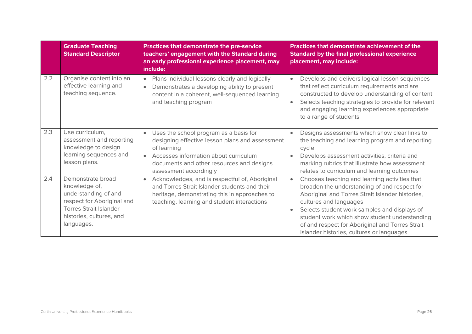|     | <b>Graduate Teaching</b><br><b>Standard Descriptor</b>                                                                                                              | <b>Practices that demonstrate the pre-service</b><br>teachers' engagement with the Standard during<br>an early professional experience placement, may<br>include:                                                                     | <b>Practices that demonstrate achievement of the</b><br><b>Standard by the final professional experience</b><br>placement, may include:                                                                                                                                                                                                                                                                |
|-----|---------------------------------------------------------------------------------------------------------------------------------------------------------------------|---------------------------------------------------------------------------------------------------------------------------------------------------------------------------------------------------------------------------------------|--------------------------------------------------------------------------------------------------------------------------------------------------------------------------------------------------------------------------------------------------------------------------------------------------------------------------------------------------------------------------------------------------------|
| 2.2 | Organise content into an<br>effective learning and<br>teaching sequence.                                                                                            | Plans individual lessons clearly and logically<br>$\bullet$<br>Demonstrates a developing ability to present<br>$\bullet$<br>content in a coherent, well-sequenced learning<br>and teaching program                                    | Develops and delivers logical lesson sequences<br>$\bullet$<br>that reflect curriculum requirements and are<br>constructed to develop understanding of content<br>Selects teaching strategies to provide for relevant<br>$\bullet$<br>and engaging learning experiences appropriate<br>to a range of students                                                                                          |
| 2.3 | Use curriculum,<br>assessment and reporting<br>knowledge to design<br>learning sequences and<br>lesson plans.                                                       | Uses the school program as a basis for<br>designing effective lesson plans and assessment<br>of learning<br>Accesses information about curriculum<br>$\bullet$<br>documents and other resources and designs<br>assessment accordingly | Designs assessments which show clear links to<br>the teaching and learning program and reporting<br>cycle<br>Develops assessment activities, criteria and<br>marking rubrics that illustrate how assessment<br>relates to curriculum and learning outcomes                                                                                                                                             |
| 2.4 | Demonstrate broad<br>knowledge of,<br>understanding of and<br>respect for Aboriginal and<br><b>Torres Strait Islander</b><br>histories, cultures, and<br>languages. | Acknowledges, and is respectful of, Aboriginal<br>$\bullet$<br>and Torres Strait Islander students and their<br>heritage, demonstrating this in approaches to<br>teaching, learning and student interactions                          | Chooses teaching and learning activities that<br>$\bullet$<br>broaden the understanding of and respect for<br>Aboriginal and Torres Strait Islander histories,<br>cultures and languages<br>Selects student work samples and displays of<br>$\bullet$<br>student work which show student understanding<br>of and respect for Aboriginal and Torres Strait<br>Islander histories, cultures or languages |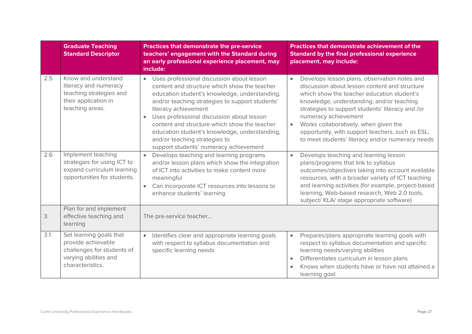|     | <b>Graduate Teaching</b><br><b>Standard Descriptor</b>                                                                   | <b>Practices that demonstrate the pre-service</b><br>teachers' engagement with the Standard during<br>an early professional experience placement, may<br>include:                                                                                                                                                                                                                                                                                           | <b>Practices that demonstrate achievement of the</b><br><b>Standard by the final professional experience</b><br>placement, may include:                                                                                                                                                                                                                                                                               |
|-----|--------------------------------------------------------------------------------------------------------------------------|-------------------------------------------------------------------------------------------------------------------------------------------------------------------------------------------------------------------------------------------------------------------------------------------------------------------------------------------------------------------------------------------------------------------------------------------------------------|-----------------------------------------------------------------------------------------------------------------------------------------------------------------------------------------------------------------------------------------------------------------------------------------------------------------------------------------------------------------------------------------------------------------------|
| 2.5 | Know and understand<br>literacy and numeracy<br>teaching strategies and<br>their application in<br>teaching areas.       | Uses professional discussion about lesson<br>$\bullet$<br>content and structure which show the teacher<br>education student's knowledge, understanding,<br>and/or teaching strategies to support students'<br>literacy achievement<br>Uses professional discussion about lesson<br>content and structure which show the teacher<br>education student's knowledge, understanding,<br>and/or teaching strategies to<br>support students' numeracy achievement | Develops lesson plans, observation notes and<br>discussion about lesson content and structure<br>which show the teacher education student's<br>knowledge, understanding, and/or teaching<br>strategies to support students' literacy and /or<br>numeracy achievement<br>Works collaboratively, when given the<br>opportunity, with support teachers, such as ESL,<br>to meet students' literacy and/or numeracy needs |
| 2.6 | Implement teaching<br>strategies for using ICT to<br>expand curriculum learning<br>opportunities for students.           | Develops teaching and learning programs<br>$\bullet$<br>and/or lesson plans which show the integration<br>of ICT into activities to make content more<br>meaningful<br>Can incorporate ICT resources into lessons to<br>$\bullet$<br>enhance students' learning                                                                                                                                                                                             | Develops teaching and learning lesson<br>$\bullet$<br>plans/programs that link to syllabus<br>outcomes/objectives taking into account available<br>resources, with a broader variety of ICT teaching<br>and learning activities (for example, project-based<br>learning, Web-based research, Web 2.0 tools,<br>subject/ KLA/ stage appropriate software)                                                              |
| 3   | Plan for and implement<br>effective teaching and<br>learning                                                             | The pre-service teacher                                                                                                                                                                                                                                                                                                                                                                                                                                     |                                                                                                                                                                                                                                                                                                                                                                                                                       |
| 3.1 | Set learning goals that<br>provide achievable<br>challenges for students of<br>varying abilities and<br>characteristics. | Identifies clear and appropriate learning goals<br>$\bullet$<br>with respect to syllabus documentation and<br>specific learning needs                                                                                                                                                                                                                                                                                                                       | Prepares/plans appropriate learning goals with<br>$\bullet$<br>respect to syllabus documentation and specific<br>learning needs/varying abilities<br>Differentiates curriculum in lesson plans<br>Knows when students have or have not attained a<br>learning goal                                                                                                                                                    |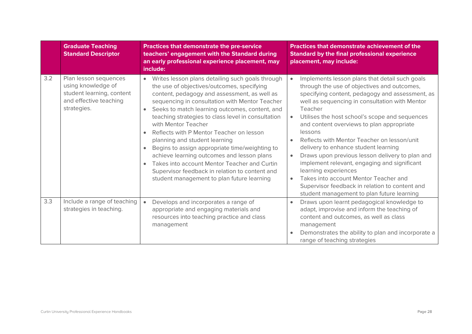|     | <b>Graduate Teaching</b><br><b>Standard Descriptor</b>                                                            | Practices that demonstrate the pre-service<br>teachers' engagement with the Standard during<br>an early professional experience placement, may<br>include:                                                                                                                                                                                                                                                                                                                                                                                                                                                                                                                                                       | <b>Practices that demonstrate achievement of the</b><br><b>Standard by the final professional experience</b><br>placement, may include:                                                                                                                                                                                                                                                                                                                                                                                                                                                                                                                                                         |
|-----|-------------------------------------------------------------------------------------------------------------------|------------------------------------------------------------------------------------------------------------------------------------------------------------------------------------------------------------------------------------------------------------------------------------------------------------------------------------------------------------------------------------------------------------------------------------------------------------------------------------------------------------------------------------------------------------------------------------------------------------------------------------------------------------------------------------------------------------------|-------------------------------------------------------------------------------------------------------------------------------------------------------------------------------------------------------------------------------------------------------------------------------------------------------------------------------------------------------------------------------------------------------------------------------------------------------------------------------------------------------------------------------------------------------------------------------------------------------------------------------------------------------------------------------------------------|
| 3.2 | Plan lesson sequences<br>using knowledge of<br>student learning, content<br>and effective teaching<br>strategies. | Writes lesson plans detailing such goals through<br>$\bullet$<br>the use of objectives/outcomes, specifying<br>content, pedagogy and assessment, as well as<br>sequencing in consultation with Mentor Teacher<br>Seeks to match learning outcomes, content, and<br>teaching strategies to class level in consultation<br>with Mentor Teacher<br>Reflects with P Mentor Teacher on lesson<br>$\bullet$<br>planning and student learning<br>Begins to assign appropriate time/weighting to<br>$\bullet$<br>achieve learning outcomes and lesson plans<br>Takes into account Mentor Teacher and Curtin<br>$\bullet$<br>Supervisor feedback in relation to content and<br>student management to plan future learning | Implements lesson plans that detail such goals<br>$\bullet$<br>through the use of objectives and outcomes,<br>specifying content, pedagogy and assessment, as<br>well as sequencing in consultation with Mentor<br>Teacher<br>Utilises the host school's scope and sequences<br>and content overviews to plan appropriate<br>lessons<br>Reflects with Mentor Teacher on lesson/unit<br>delivery to enhance student learning<br>Draws upon previous lesson delivery to plan and<br>implement relevant, engaging and significant<br>learning experiences<br>Takes into account Mentor Teacher and<br>Supervisor feedback in relation to content and<br>student management to plan future learning |
| 3.3 | Include a range of teaching<br>strategies in teaching.                                                            | Develops and incorporates a range of<br>appropriate and engaging materials and<br>resources into teaching practice and class<br>management                                                                                                                                                                                                                                                                                                                                                                                                                                                                                                                                                                       | Draws upon learnt pedagogical knowledge to<br>$\bullet$<br>adapt, improvise and inform the teaching of<br>content and outcomes, as well as class<br>management<br>Demonstrates the ability to plan and incorporate a<br>range of teaching strategies                                                                                                                                                                                                                                                                                                                                                                                                                                            |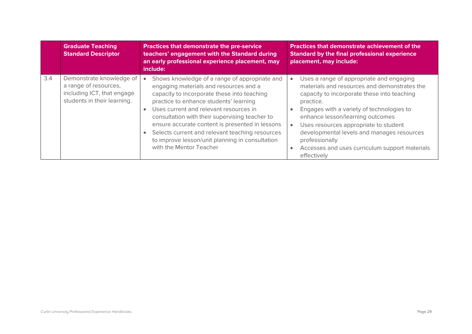|     | <b>Graduate Teaching</b><br><b>Standard Descriptor</b>                                                         | Practices that demonstrate the pre-service<br>teachers' engagement with the Standard during<br>an early professional experience placement, may<br>include:                                                                                                                                                                                                                                                                                                                      | <b>Practices that demonstrate achievement of the</b><br><b>Standard by the final professional experience</b><br>placement, may include:                                                                                                                                                                                                                                                                         |
|-----|----------------------------------------------------------------------------------------------------------------|---------------------------------------------------------------------------------------------------------------------------------------------------------------------------------------------------------------------------------------------------------------------------------------------------------------------------------------------------------------------------------------------------------------------------------------------------------------------------------|-----------------------------------------------------------------------------------------------------------------------------------------------------------------------------------------------------------------------------------------------------------------------------------------------------------------------------------------------------------------------------------------------------------------|
| 3.4 | Demonstrate knowledge of<br>a range of resources,<br>including ICT, that engage<br>students in their learning. | Shows knowledge of a range of appropriate and<br>engaging materials and resources and a<br>capacity to incorporate these into teaching<br>practice to enhance students' learning<br>• Uses current and relevant resources in<br>consultation with their supervising teacher to<br>ensure accurate content is presented in lessons<br>Selects current and relevant teaching resources<br>$\bullet$<br>to improve lesson/unit planning in consultation<br>with the Mentor Teacher | Uses a range of appropriate and engaging<br>materials and resources and demonstrates the<br>capacity to incorporate these into teaching<br>practice.<br>Engages with a variety of technologies to<br>enhance lesson/learning outcomes<br>Uses resources appropriate to student<br>developmental levels and manages resources<br>professionally<br>Accesses and uses curriculum support materials<br>effectively |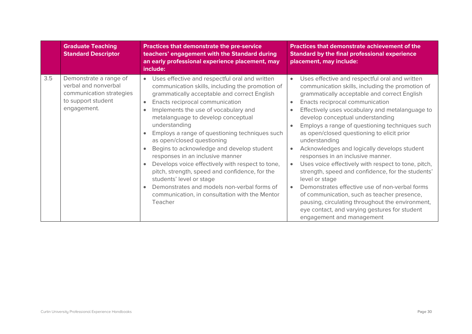|     | <b>Graduate Teaching</b><br><b>Standard Descriptor</b>                                                          | Practices that demonstrate the pre-service<br>teachers' engagement with the Standard during<br>an early professional experience placement, may<br>include:                                                                                                                                                                                                                                                                                                                                                                                                                                                                                                                                                         | <b>Practices that demonstrate achievement of the</b><br><b>Standard by the final professional experience</b><br>placement, may include:                                                                                                                                                                                                                                                                                                                                                                                                                                                                                                                                                                                                                                                                                                                                                                             |  |
|-----|-----------------------------------------------------------------------------------------------------------------|--------------------------------------------------------------------------------------------------------------------------------------------------------------------------------------------------------------------------------------------------------------------------------------------------------------------------------------------------------------------------------------------------------------------------------------------------------------------------------------------------------------------------------------------------------------------------------------------------------------------------------------------------------------------------------------------------------------------|---------------------------------------------------------------------------------------------------------------------------------------------------------------------------------------------------------------------------------------------------------------------------------------------------------------------------------------------------------------------------------------------------------------------------------------------------------------------------------------------------------------------------------------------------------------------------------------------------------------------------------------------------------------------------------------------------------------------------------------------------------------------------------------------------------------------------------------------------------------------------------------------------------------------|--|
| 3.5 | Demonstrate a range of<br>verbal and nonverbal<br>communication strategies<br>to support student<br>engagement. | • Uses effective and respectful oral and written<br>communication skills, including the promotion of<br>grammatically acceptable and correct English<br>Enacts reciprocal communication<br>Implements the use of vocabulary and<br>metalanguage to develop conceptual<br>understanding<br>Employs a range of questioning techniques such<br>as open/closed questioning<br>Begins to acknowledge and develop student<br>responses in an inclusive manner<br>Develops voice effectively with respect to tone,<br>pitch, strength, speed and confidence, for the<br>students' level or stage<br>Demonstrates and models non-verbal forms of<br>$\bullet$<br>communication, in consultation with the Mentor<br>Teacher | Uses effective and respectful oral and written<br>$\bullet$<br>communication skills, including the promotion of<br>grammatically acceptable and correct English<br>Enacts reciprocal communication<br>$\bullet$<br>Effectively uses vocabulary and metalanguage to<br>$\bullet$<br>develop conceptual understanding<br>Employs a range of questioning techniques such<br>as open/closed questioning to elicit prior<br>understanding<br>Acknowledges and logically develops student<br>$\bullet$<br>responses in an inclusive manner.<br>Uses voice effectively with respect to tone, pitch,<br>strength, speed and confidence, for the students'<br>level or stage<br>Demonstrates effective use of non-verbal forms<br>$\bullet$<br>of communication, such as teacher presence,<br>pausing, circulating throughout the environment,<br>eye contact, and varying gestures for student<br>engagement and management |  |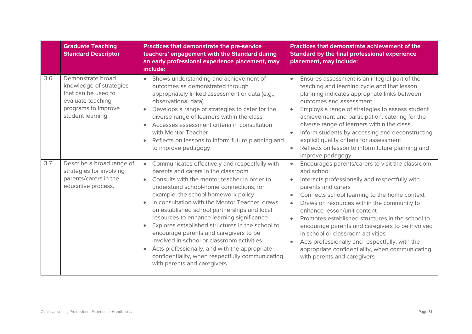|     | <b>Graduate Teaching</b><br><b>Standard Descriptor</b>                                                                               | <b>Practices that demonstrate the pre-service</b><br>teachers' engagement with the Standard during<br>an early professional experience placement, may<br>include:                                                                                                                                                                                                                                                                                                                                                                                                                                                                                                                              | <b>Practices that demonstrate achievement of the</b><br><b>Standard by the final professional experience</b><br>placement, may include:                                                                                                                                                                                                                                                                                                                                                                                                                                       |  |
|-----|--------------------------------------------------------------------------------------------------------------------------------------|------------------------------------------------------------------------------------------------------------------------------------------------------------------------------------------------------------------------------------------------------------------------------------------------------------------------------------------------------------------------------------------------------------------------------------------------------------------------------------------------------------------------------------------------------------------------------------------------------------------------------------------------------------------------------------------------|-------------------------------------------------------------------------------------------------------------------------------------------------------------------------------------------------------------------------------------------------------------------------------------------------------------------------------------------------------------------------------------------------------------------------------------------------------------------------------------------------------------------------------------------------------------------------------|--|
| 3.6 | Demonstrate broad<br>knowledge of strategies<br>that can be used to<br>evaluate teaching<br>programs to improve<br>student learning. | Shows understanding and achievement of<br>$\bullet$<br>outcomes as demonstrated through<br>appropriately linked assessment or data (e.g.,<br>observational data)<br>Develops a range of strategies to cater for the<br>diverse range of learners within the class<br>Accesses assessment criteria in consultation<br>with Mentor Teacher<br>Reflects on lessons to inform future planning and<br>to improve pedagogy                                                                                                                                                                                                                                                                           | Ensures assessment is an integral part of the<br>$\bullet$<br>teaching and learning cycle and that lesson<br>planning indicates appropriate links between<br>outcomes and assessment<br>Employs a range of strategies to assess student<br>achievement and participation, catering for the<br>diverse range of learners within the class<br>Inform students by accessing and deconstructing<br>explicit quality criteria for assessment<br>Reflects on lesson to inform future planning and<br>$\bullet$<br>improve pedagogy                                                  |  |
| 3.7 | Describe a broad range of<br>strategies for involving<br>parents/carers in the<br>educative process.                                 | Communicates effectively and respectfully with<br>$\bullet$<br>parents and carers in the classroom<br>Consults with the mentor teacher in order to<br>$\bullet$<br>understand school-home connections, for<br>example, the school homework policy<br>In consultation with the Mentor Teacher, draws<br>on established school partnerships and local<br>resources to enhance learning significance<br>Explores established structures in the school to<br>encourage parents and caregivers to be<br>involved in school or classroom activities<br>Acts professionally, and with the appropriate<br>$\bullet$<br>confidentiality, when respectfully communicating<br>with parents and caregivers | Encourages parents/carers to visit the classroom<br>and school<br>Interacts professionally and respectfully with<br>parents and carers<br>Connects school learning to the home context<br>$\bullet$<br>Draws on resources within the community to<br>enhance lesson/unit content<br>Promotes established structures in the school to<br>encourage parents and caregivers to be involved<br>in school or classroom activities<br>Acts professionally and respectfully, with the<br>$\bullet$<br>appropriate confidentiality, when communicating<br>with parents and caregivers |  |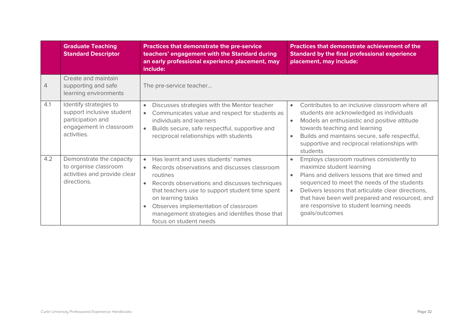|     | <b>Graduate Teaching</b><br><b>Standard Descriptor</b>                                                             | Practices that demonstrate the pre-service<br>teachers' engagement with the Standard during<br>an early professional experience placement, may<br>include:                                                                                                                                                                                                                           | <b>Practices that demonstrate achievement of the</b><br><b>Standard by the final professional experience</b><br>placement, may include:                                                                                                                                                                                                                     |
|-----|--------------------------------------------------------------------------------------------------------------------|--------------------------------------------------------------------------------------------------------------------------------------------------------------------------------------------------------------------------------------------------------------------------------------------------------------------------------------------------------------------------------------|-------------------------------------------------------------------------------------------------------------------------------------------------------------------------------------------------------------------------------------------------------------------------------------------------------------------------------------------------------------|
| 4   | Create and maintain<br>supporting and safe<br>learning environments                                                | The pre-service teacher                                                                                                                                                                                                                                                                                                                                                              |                                                                                                                                                                                                                                                                                                                                                             |
| 4.1 | Identify strategies to<br>support inclusive student<br>participation and<br>engagement in classroom<br>activities. | Discusses strategies with the Mentor teacher<br>Communicates value and respect for students as<br>$\bullet$<br>individuals and learners<br>Builds secure, safe respectful, supportive and<br>reciprocal relationships with students                                                                                                                                                  | Contributes to an inclusive classroom where all<br>$\bullet$<br>students are acknowledged as individuals<br>Models an enthusiastic and positive attitude<br>towards teaching and learning<br>Builds and maintains secure, safe respectful,<br>supportive and reciprocal relationships with<br>students                                                      |
| 4.2 | Demonstrate the capacity<br>to organise classroom<br>activities and provide clear<br>directions.                   | Has learnt and uses students' names<br>$\bullet$<br>Records observations and discusses classroom<br>routines<br>Records observations and discusses techniques<br>$\bullet$<br>that teachers use to support student time spent<br>on learning tasks<br>Observes implementation of classroom<br>$\bullet$<br>management strategies and identifies those that<br>focus on student needs | Employs classroom routines consistently to<br>maximize student learning<br>Plans and delivers lessons that are timed and<br>$\bullet$<br>sequenced to meet the needs of the students<br>Delivers lessons that articulate clear directions,<br>that have been well prepared and resourced, and<br>are responsive to student learning needs<br>goals/outcomes |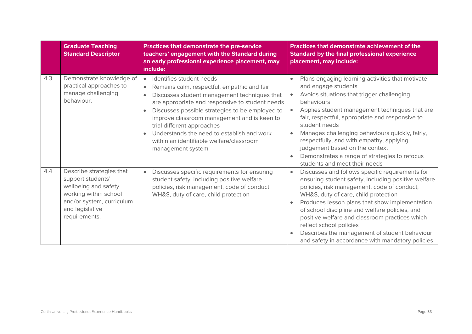|     | <b>Graduate Teaching</b><br><b>Standard Descriptor</b>                                                                                                          | Practices that demonstrate the pre-service<br>teachers' engagement with the Standard during<br>an early professional experience placement, may<br>include:                                                                                                                                                                                                                                                                                          | <b>Practices that demonstrate achievement of the</b><br><b>Standard by the final professional experience</b><br>placement, may include:                                                                                                                                                                                                                                                                                                                                                                                                       |
|-----|-----------------------------------------------------------------------------------------------------------------------------------------------------------------|-----------------------------------------------------------------------------------------------------------------------------------------------------------------------------------------------------------------------------------------------------------------------------------------------------------------------------------------------------------------------------------------------------------------------------------------------------|-----------------------------------------------------------------------------------------------------------------------------------------------------------------------------------------------------------------------------------------------------------------------------------------------------------------------------------------------------------------------------------------------------------------------------------------------------------------------------------------------------------------------------------------------|
| 4.3 | Demonstrate knowledge of<br>practical approaches to<br>manage challenging<br>behaviour.                                                                         | Identifies student needs<br>$\bullet$<br>Remains calm, respectful, empathic and fair<br>Discusses student management techniques that<br>$\bullet$<br>are appropriate and responsive to student needs<br>Discusses possible strategies to be employed to<br>improve classroom management and is keen to<br>trial different approaches<br>Understands the need to establish and work<br>within an identifiable welfare/classroom<br>management system | Plans engaging learning activities that motivate<br>$\bullet$<br>and engage students<br>Avoids situations that trigger challenging<br>$\bullet$<br>behaviours<br>Applies student management techniques that are<br>$\bullet$<br>fair, respectful, appropriate and responsive to<br>student needs<br>Manages challenging behaviours quickly, fairly,<br>$\bullet$<br>respectfully, and with empathy, applying<br>judgement based on the context<br>Demonstrates a range of strategies to refocus<br>$\bullet$<br>students and meet their needs |
| 4.4 | Describe strategies that<br>support students'<br>wellbeing and safety<br>working within school<br>and/or system, curriculum<br>and legislative<br>requirements. | Discusses specific requirements for ensuring<br>$\bullet$<br>student safety, including positive welfare<br>policies, risk management, code of conduct,<br>WH&S, duty of care, child protection                                                                                                                                                                                                                                                      | Discusses and follows specific requirements for<br>$\bullet$<br>ensuring student safety, including positive welfare<br>policies, risk management, code of conduct,<br>WH&S, duty of care, child protection<br>Produces lesson plans that show implementation<br>$\bullet$<br>of school discipline and welfare policies, and<br>positive welfare and classroom practices which<br>reflect school policies<br>Describes the management of student behaviour<br>and safety in accordance with mandatory policies                                 |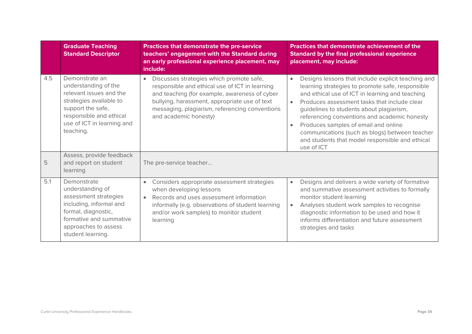|     | <b>Graduate Teaching</b><br><b>Standard Descriptor</b>                                                                                                                                  | Practices that demonstrate the pre-service<br>teachers' engagement with the Standard during<br>an early professional experience placement, may<br>include:                                                                                                                           | <b>Practices that demonstrate achievement of the</b><br><b>Standard by the final professional experience</b><br>placement, may include:                                                                                                                                                                                                                                                                                                                                                    |
|-----|-----------------------------------------------------------------------------------------------------------------------------------------------------------------------------------------|--------------------------------------------------------------------------------------------------------------------------------------------------------------------------------------------------------------------------------------------------------------------------------------|--------------------------------------------------------------------------------------------------------------------------------------------------------------------------------------------------------------------------------------------------------------------------------------------------------------------------------------------------------------------------------------------------------------------------------------------------------------------------------------------|
| 4.5 | Demonstrate an<br>understanding of the<br>relevant issues and the<br>strategies available to<br>support the safe,<br>responsible and ethical<br>use of ICT in learning and<br>teaching. | Discusses strategies which promote safe,<br>$\bullet$<br>responsible and ethical use of ICT in learning<br>and teaching (for example, awareness of cyber<br>bullying, harassment, appropriate use of text<br>messaging, plagiarism, referencing conventions<br>and academic honesty) | Designs lessons that include explicit teaching and<br>$\bullet$<br>learning strategies to promote safe, responsible<br>and ethical use of ICT in learning and teaching<br>Produces assessment tasks that include clear<br>$\bullet$<br>guidelines to students about plagiarism,<br>referencing conventions and academic honesty<br>Produces samples of email and online<br>communications (such as blogs) between teacher<br>and students that model responsible and ethical<br>use of ICT |
| 5   | Assess, provide feedback<br>and report on student<br>learning                                                                                                                           | The pre-service teacher                                                                                                                                                                                                                                                              |                                                                                                                                                                                                                                                                                                                                                                                                                                                                                            |
| 5.1 | Demonstrate<br>understanding of<br>assessment strategies<br>including, informal and<br>formal, diagnostic,<br>formative and summative<br>approaches to assess<br>student learning.      | Considers appropriate assessment strategies<br>$\bullet$<br>when developing lessons<br>Records and uses assessment information<br>$\bullet$<br>informally (e.g. observations of student learning<br>and/or work samples) to monitor student<br>learning                              | Designs and delivers a wide variety of formative<br>$\bullet$<br>and summative assessment activities to formally<br>monitor student learning<br>Analyses student work samples to recognise<br>diagnostic information to be used and how it<br>informs differentiation and future assessment<br>strategies and tasks                                                                                                                                                                        |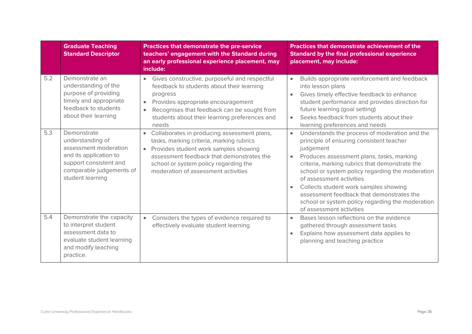|     | <b>Graduate Teaching</b><br><b>Standard Descriptor</b>                                                                                                       | Practices that demonstrate the pre-service<br>teachers' engagement with the Standard during<br>an early professional experience placement, may<br>include:                                                                                                                              | Practices that demonstrate achievement of the<br><b>Standard by the final professional experience</b><br>placement, may include:                                                                                                                                                                                                                                                                                                                                         |
|-----|--------------------------------------------------------------------------------------------------------------------------------------------------------------|-----------------------------------------------------------------------------------------------------------------------------------------------------------------------------------------------------------------------------------------------------------------------------------------|--------------------------------------------------------------------------------------------------------------------------------------------------------------------------------------------------------------------------------------------------------------------------------------------------------------------------------------------------------------------------------------------------------------------------------------------------------------------------|
| 5.2 | Demonstrate an<br>understanding of the<br>purpose of providing<br>timely and appropriate<br>feedback to students<br>about their learning                     | Gives constructive, purposeful and respectful<br>feedback to students about their learning<br>progress<br>Provides appropriate encouragement<br>$\bullet$<br>Recognises that feedback can be sought from<br>$\bullet$<br>students about their learning preferences and<br>needs         | Builds appropriate reinforcement and feedback<br>into lesson plans<br>Gives timely effective feedback to enhance<br>student performance and provides direction for<br>future learning (goal setting)<br>Seeks feedback from students about their<br>learning preferences and needs                                                                                                                                                                                       |
| 5.3 | Demonstrate<br>understanding of<br>assessment moderation<br>and its application to<br>support consistent and<br>comparable judgements of<br>student learning | Collaborates in producing assessment plans,<br>$\bullet$<br>tasks, marking criteria, marking rubrics<br>Provides student work samples showing<br>$\bullet$<br>assessment feedback that demonstrates the<br>school or system policy regarding the<br>moderation of assessment activities | Understands the process of moderation and the<br>$\bullet$<br>principle of ensuring consistent teacher<br>judgement<br>Produces assessment plans, tasks, marking<br>criteria, marking rubrics that demonstrate the<br>school or system policy regarding the moderation<br>of assessment activities<br>Collects student work samples showing<br>assessment feedback that demonstrates the<br>school or system policy regarding the moderation<br>of assessment activities |
| 5.4 | Demonstrate the capacity<br>to interpret student<br>assessment data to<br>evaluate student learning<br>and modify teaching<br>practice.                      | Considers the types of evidence required to<br>$\bullet$<br>effectively evaluate student learning                                                                                                                                                                                       | Bases lesson reflections on the evidence<br>gathered through assessment tasks<br>Explains how assessment data applies to<br>planning and teaching practice                                                                                                                                                                                                                                                                                                               |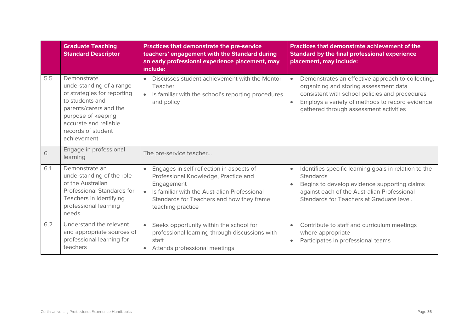|     | <b>Graduate Teaching</b><br><b>Standard Descriptor</b>                                                                                                                                                  | Practices that demonstrate the pre-service<br>teachers' engagement with the Standard during<br>an early professional experience placement, may<br>include:                                                       | <b>Practices that demonstrate achievement of the</b><br><b>Standard by the final professional experience</b><br>placement, may include:                                                                                                    |  |
|-----|---------------------------------------------------------------------------------------------------------------------------------------------------------------------------------------------------------|------------------------------------------------------------------------------------------------------------------------------------------------------------------------------------------------------------------|--------------------------------------------------------------------------------------------------------------------------------------------------------------------------------------------------------------------------------------------|--|
| 5.5 | Demonstrate<br>understanding of a range<br>of strategies for reporting<br>to students and<br>parents/carers and the<br>purpose of keeping<br>accurate and reliable<br>records of student<br>achievement | Discusses student achievement with the Mentor<br>Teacher<br>Is familiar with the school's reporting procedures<br>and policy                                                                                     | Demonstrates an effective approach to collecting,<br>organizing and storing assessment data<br>consistent with school policies and procedures<br>Employs a variety of methods to record evidence<br>gathered through assessment activities |  |
| 6   | Engage in professional<br>learning                                                                                                                                                                      | The pre-service teacher                                                                                                                                                                                          |                                                                                                                                                                                                                                            |  |
| 6.1 | Demonstrate an<br>understanding of the role<br>of the Australian<br><b>Professional Standards for</b><br>Teachers in identifying<br>professional learning<br>needs                                      | Engages in self-reflection in aspects of<br>Professional Knowledge, Practice and<br>Engagement<br>Is familiar with the Australian Professional<br>Standards for Teachers and how they frame<br>teaching practice | Identifies specific learning goals in relation to the<br><b>Standards</b><br>Begins to develop evidence supporting claims<br>against each of the Australian Professional<br>Standards for Teachers at Graduate level.                      |  |
| 6.2 | Understand the relevant<br>and appropriate sources of<br>professional learning for<br>teachers                                                                                                          | Seeks opportunity within the school for<br>professional learning through discussions with<br>staff<br>Attends professional meetings<br>$\bullet$                                                                 | Contribute to staff and curriculum meetings<br>$\bullet$<br>where appropriate<br>Participates in professional teams<br>$\bullet$                                                                                                           |  |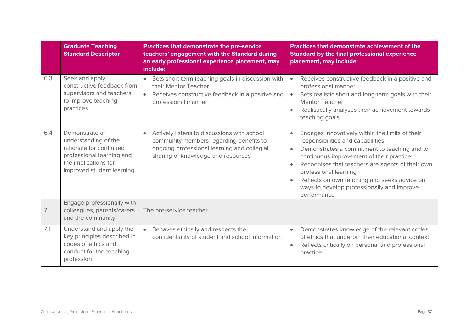|     | <b>Graduate Teaching</b><br><b>Standard Descriptor</b>                                                                                              | <b>Practices that demonstrate the pre-service</b><br>teachers' engagement with the Standard during<br>an early professional experience placement, may<br>include:                        | <b>Practices that demonstrate achievement of the</b><br><b>Standard by the final professional experience</b><br>placement, may include:                                                                                                                                                                                                                                                              |  |
|-----|-----------------------------------------------------------------------------------------------------------------------------------------------------|------------------------------------------------------------------------------------------------------------------------------------------------------------------------------------------|------------------------------------------------------------------------------------------------------------------------------------------------------------------------------------------------------------------------------------------------------------------------------------------------------------------------------------------------------------------------------------------------------|--|
| 6.3 | Seek and apply<br>constructive feedback from<br>supervisors and teachers<br>to improve teaching<br>practices                                        | • Sets short term teaching goals in discussion with<br>their Mentor Teacher<br>Receives constructive feedback in a positive and<br>$\bullet$<br>professional manner                      | Receives constructive feedback in a positive and<br>$\bullet$<br>professional manner<br>Sets realistic short and long-term goals with their<br>$\bullet$<br><b>Mentor Teacher</b><br>Realistically analyses their achievement towards<br>teaching goals                                                                                                                                              |  |
| 6.4 | Demonstrate an<br>understanding of the<br>rationale for continued<br>professional learning and<br>the implications for<br>improved student learning | Actively listens to discussions with school<br>$\bullet$<br>community members regarding benefits to<br>ongoing professional learning and collegial<br>sharing of knowledge and resources | Engages innovatively within the limits of their<br>$\bullet$<br>responsibilities and capabilities<br>Demonstrates a commitment to teaching and to<br>$\bullet$<br>continuous improvement of their practice<br>Recognises that teachers are agents of their own<br>professional learning<br>Reflects on own teaching and seeks advice on<br>ways to develop professionally and improve<br>performance |  |
| 7   | Engage professionally with<br>colleagues, parents/carers<br>and the community                                                                       | The pre-service teacher                                                                                                                                                                  |                                                                                                                                                                                                                                                                                                                                                                                                      |  |
| 7.1 | Understand and apply the<br>key principles described in<br>codes of ethics and<br>conduct for the teaching<br>profession                            | Behaves ethically and respects the<br>$\bullet$<br>confidentiality of student and school information                                                                                     | Demonstrates knowledge of the relevant codes<br>$\bullet$<br>of ethics that underpin their educational context<br>Reflects critically on personal and professional<br>$\bullet$<br>practice                                                                                                                                                                                                          |  |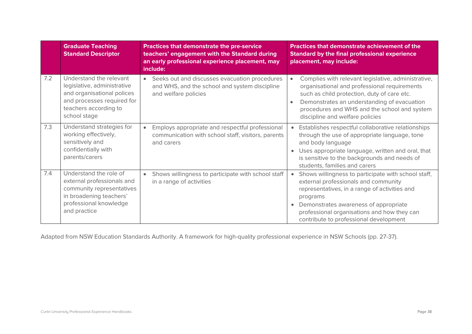|     | <b>Graduate Teaching</b><br><b>Practices that demonstrate the pre-service</b><br><b>Standard Descriptor</b><br>teachers' engagement with the Standard during<br>an early professional experience placement, may<br>include: |                                                                                                                          | <b>Practices that demonstrate achievement of the</b><br><b>Standard by the final professional experience</b><br>placement, may include:                                                                                                                                                                              |  |
|-----|-----------------------------------------------------------------------------------------------------------------------------------------------------------------------------------------------------------------------------|--------------------------------------------------------------------------------------------------------------------------|----------------------------------------------------------------------------------------------------------------------------------------------------------------------------------------------------------------------------------------------------------------------------------------------------------------------|--|
| 7.2 | Understand the relevant<br>legislative, administrative<br>and organisational polices<br>and processes required for<br>teachers according to<br>school stage                                                                 | • Seeks out and discusses evacuation procedures<br>and WHS, and the school and system discipline<br>and welfare policies | Complies with relevant legislative, administrative,<br>$\bullet$<br>organisational and professional requirements<br>such as child protection, duty of care etc.<br>Demonstrates an understanding of evacuation<br>٠<br>procedures and WHS and the school and system<br>discipline and welfare policies               |  |
| 7.3 | Understand strategies for<br>working effectively,<br>sensitively and<br>confidentially with<br>parents/carers                                                                                                               | Employs appropriate and respectful professional<br>communication with school staff, visitors, parents<br>and carers      | Establishes respectful collaborative relationships<br>through the use of appropriate language, tone<br>and body language<br>Uses appropriate language, written and oral, that<br>is sensitive to the backgrounds and needs of<br>students, families and carers                                                       |  |
| 7.4 | Understand the role of<br>external professionals and<br>community representatives<br>in broadening teachers'<br>professional knowledge<br>and practice                                                                      | Shows willingness to participate with school staff<br>$\bullet$<br>in a range of activities                              | Shows willingness to participate with school staff,<br>$\bullet$<br>external professionals and community<br>representatives, in a range of activities and<br>programs<br>Demonstrates awareness of appropriate<br>$\bullet$<br>professional organisations and how they can<br>contribute to professional development |  |

Adapted from NSW Education Standards Authority. A framework for high-quality professional experience in NSW Schools (pp. 27-37).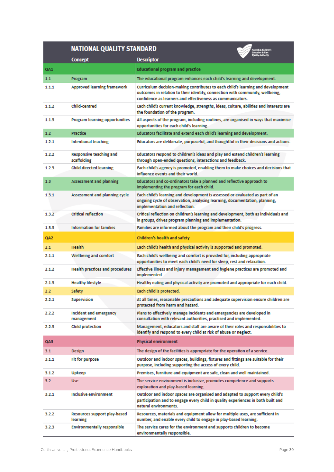### **NATIONAL QUALITY STANDARD**

|                 | <b>Concept</b>                                | Quality Authority<br><b>Descriptor</b>                                                                                                                                                                                         |
|-----------------|-----------------------------------------------|--------------------------------------------------------------------------------------------------------------------------------------------------------------------------------------------------------------------------------|
| QA1             |                                               | <b>Educational program and practice</b>                                                                                                                                                                                        |
| 1.1             | Program                                       | The educational program enhances each child's learning and development.                                                                                                                                                        |
| 1.1.1           | <b>Approved learning framework</b>            | Curriculum decision-making contributes to each child's learning and development<br>outcomes in relation to their identity, connection with community, wellbeing,<br>confidence as learners and effectiveness as communicators. |
| 1.1.2           | <b>Child-centred</b>                          | Each child's current knowledge, strengths, ideas, culture, abilities and interests are<br>the foundation of the program.                                                                                                       |
| 1.1.3           | <b>Program learning opportunities</b>         | All aspects of the program, including routines, are organised in ways that maximise<br>opportunities for each child's learning.                                                                                                |
| 1.2             | Practice                                      | Educators facilitate and extend each child's learning and development.                                                                                                                                                         |
| 1.2.1           | <b>Intentional teaching</b>                   | Educators are deliberate, purposeful, and thoughtful in their decisions and actions.                                                                                                                                           |
| 1.2.2           | <b>Responsive teaching and</b><br>scaffolding | Educators respond to children's ideas and play and extend children's learning<br>through open-ended questions, interactions and feedback.                                                                                      |
| 1.2.3           | <b>Child directed learning</b>                | Each child's agency is promoted, enabling them to make choices and decisions that<br>influence events and their world.                                                                                                         |
| 1.3             | Assessment and planning                       | Educators and co-ordinators take a planned and reflective approach to<br>implementing the program for each child.                                                                                                              |
| 1.3.1           | Assessment and planning cycle                 | Each child's learning and development is assessed or evaluated as part of an<br>ongoing cycle of observation, analysing learning, documentation, planning,<br>implementation and reflection.                                   |
| 1.3.2           | <b>Critical reflection</b>                    | Critical reflection on children's learning and development, both as individuals and<br>in groups, drives program planning and implementation.                                                                                  |
| 1.3.3           | <b>Information for families</b>               | Families are informed about the program and their child's progress.                                                                                                                                                            |
| QA <sub>2</sub> |                                               | <b>Children's health and safety</b>                                                                                                                                                                                            |
| 2.1             | <b>Health</b>                                 | Each child's health and physical activity is supported and promoted.                                                                                                                                                           |
| 2.1.1           | <b>Wellbeing and comfort</b>                  | Each child's wellbeing and comfort is provided for, including appropriate<br>opportunities to meet each child's need for sleep, rest and relaxation.                                                                           |
| 2.1.2           | <b>Health practices and procedures</b>        | Effective illness and injury management and hygiene practices are promoted and<br>implemented.                                                                                                                                 |
| 2.1.3           | <b>Healthy lifestyle</b>                      | Healthy eating and physical activity are promoted and appropriate for each child.                                                                                                                                              |
| 2.2             | Safety                                        | Each child is protected.                                                                                                                                                                                                       |
| 2.2.1           | Supervision                                   | At all times, reasonable precautions and adequate supervision ensure children are<br>protected from harm and hazard.                                                                                                           |
| 2.2.2           | Incident and emergency<br>management          | Plans to effectively manage incidents and emergencies are developed in<br>consultation with relevant authorities, practised and implemented.                                                                                   |
| 2.2.3           | Child protection                              | Management, educators and staff are aware of their roles and responsibilities to<br>identify and respond to every child at risk of abuse or neglect.                                                                           |
| QA3             |                                               | <b>Physical environment</b>                                                                                                                                                                                                    |
| 3.1             | Design                                        | The design of the facilities is appropriate for the operation of a service.                                                                                                                                                    |
| 3.1.1           | Fit for purpose                               | Outdoor and indoor spaces, buildings, fixtures and fittings are suitable for their<br>purpose, including supporting the access of every child.                                                                                 |
| 3.1.2           | Upkeep                                        | Premises, furniture and equipment are safe, clean and well maintained.                                                                                                                                                         |
| 3.2             | <b>Use</b>                                    | The service environment is inclusive, promotes competence and supports<br>exploration and play-based learning.                                                                                                                 |
| 3.2.1           | <b>Inclusive environment</b>                  | Outdoor and indoor spaces are organised and adapted to support every child's<br>participation and to engage every child in quality experiences in both built and<br>natural environments.                                      |
| 3.2.2           | Resources support play-based<br>learning      | Resources, materials and equipment allow for multiple uses, are sufficient in<br>number, and enable every child to engage in play-based learning.                                                                              |
| 3.2.3           | <b>Environmentally responsible</b>            | The service cares for the environment and supports children to become<br>environmentally responsible.                                                                                                                          |

 $\bigotimes_{\text{Uniform }k} \alpha_{\text{infinite}}$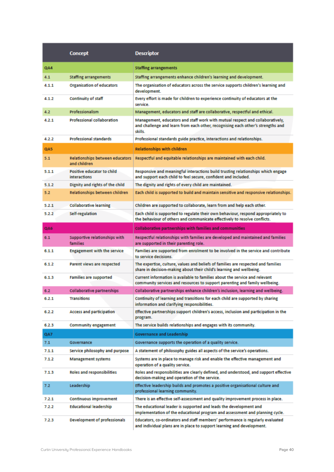|            | <b>Concept</b>                                         | <b>Descriptor</b>                                                                                                                                                           |
|------------|--------------------------------------------------------|-----------------------------------------------------------------------------------------------------------------------------------------------------------------------------|
| QA4        |                                                        | <b>Staffing arrangements</b>                                                                                                                                                |
| 4.1        | <b>Staffing arrangements</b>                           | Staffing arrangements enhance children's learning and development.                                                                                                          |
| 4.1.1      | <b>Organisation of educators</b>                       | The organisation of educators across the service supports children's learning and<br>development.                                                                           |
| 4.1.2      | <b>Continuity of staff</b>                             | Every effort is made for children to experience continuity of educators at the<br>service.                                                                                  |
| 4.2        | <b>Professionalism</b>                                 | Management, educators and staff are collaborative, respectful and ethical.                                                                                                  |
| 4.2.1      | <b>Professional collaboration</b>                      | Management, educators and staff work with mutual respect and collaboratively,<br>and challenge and learn from each other, recognising each other's strengths and<br>skills. |
| 4.2.2      | <b>Professional standards</b>                          | Professional standards guide practice, interactions and relationships.                                                                                                      |
| <b>QA5</b> |                                                        | <b>Relationships with children</b>                                                                                                                                          |
| 5.1        | <b>Relationships between educators</b><br>and children | Respectful and equitable relationships are maintained with each child.                                                                                                      |
| 5.1.1      | Positive educator to child<br><b>interactions</b>      | Responsive and meaningful interactions build trusting relationships which engage<br>and support each child to feel secure, confident and included.                          |
| 5.1.2      | Dignity and rights of the child                        | The dignity and rights of every child are maintained.                                                                                                                       |
| 5.2        | Relationships between children                         | Each child is supported to build and maintain sensitive and responsive relationships.                                                                                       |
| 5.2.1      | <b>Collaborative learning</b>                          | Children are supported to collaborate, learn from and help each other.                                                                                                      |
| 5.2.2      | Self-regulation                                        | Each child is supported to regulate their own behaviour, respond appropriately to<br>the behaviour of others and communicate effectively to resolve conflicts.              |
| <b>QA6</b> |                                                        | Collaborative partnerships with families and communities                                                                                                                    |
| 6.1        | Supportive relationships with<br>families              | Respectful relationships with families are developed and maintained and families<br>are supported in their parenting role.                                                  |
| 6.1.1      | <b>Engagement with the service</b>                     | Families are supported from enrolment to be involved in the service and contribute<br>to service decisions.                                                                 |
| 6.1.2      | Parent views are respected                             | The expertise, culture, values and beliefs of families are respected and families<br>share in decision-making about their child's learning and wellbeing.                   |
| 6.1.3      | <b>Families are supported</b>                          | Current information is available to families about the service and relevant<br>community services and resources to support parenting and family wellbeing.                  |
| 6.2        | <b>Collaborative partnerships</b>                      | Collaborative partnerships enhance children's inclusion, learning and wellbeing.                                                                                            |
| 6.2.1      | Transitions                                            | Continuity of learning and transitions for each child are supported by sharing<br>information and clarifying responsibilities.                                              |
| 6.2.2      | <b>Access and participation</b>                        | Effective partnerships support children's access, inclusion and participation in the<br>program.                                                                            |
| 6.2.3      | <b>Community engagement</b>                            | The service builds relationships and engages with its community.                                                                                                            |
| QA7        |                                                        | <b>Governance and Leadership</b>                                                                                                                                            |
| 7.1        | Governance                                             | Governance supports the operation of a quality service.                                                                                                                     |
| 7.1.1      | Service philosophy and purpose                         | A statement of philosophy guides all aspects of the service's operations.                                                                                                   |
| 7.1.2      | <b>Management systems</b>                              | Systems are in place to manage risk and enable the effective management and<br>operation of a quality service.                                                              |
| 7.1.3      | <b>Roles and responsibilities</b>                      | Roles and responsibilities are clearly defined, and understood, and support effective<br>decision-making and operation of the service.                                      |
| 7.2        | Leadership                                             | Effective leadership builds and promotes a positive organisational culture and<br>professional learning community.                                                          |
| 7.2.1      | <b>Continuous improvement</b>                          | There is an effective self-assessment and quality improvement process in place.                                                                                             |
| 7.2.2      | <b>Educational leadership</b>                          | The educational leader is supported and leads the development and<br>implementation of the educational program and assessment and planning cycle.                           |
| 7.2.3      | <b>Development of professionals</b>                    | Educators, co-ordinators and staff members' performance is regularly evaluated<br>and individual plans are in place to support learning and development.                    |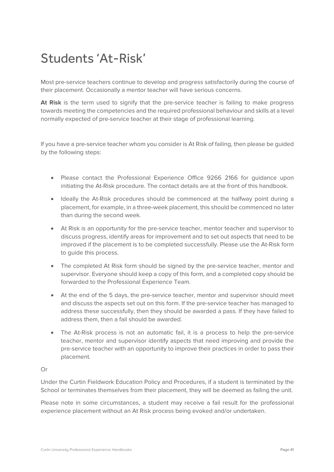### Students 'At-Risk'

Most pre-service teachers continue to develop and progress satisfactorily during the course of their placement. Occasionally a mentor teacher will have serious concerns.

**At Risk** is the term used to signify that the pre-service teacher is failing to make progress towards meeting the competencies and the required professional behaviour and skills at a level normally expected of pre-service teacher at their stage of professional learning.

If you have a pre-service teacher whom you consider is At Risk of failing, then please be guided by the following steps:

- Please contact the Professional Experience Office 9266 2166 for guidance upon initiating the At-Risk procedure. The contact details are at the front of this handbook.
- Ideally the At-Risk procedures should be commenced at the halfway point during a placement, for example, in a three-week placement, this should be commenced no later than during the second week.
- At Risk is an opportunity for the pre-service teacher, mentor teacher and supervisor to discuss progress, identify areas for improvement and to set out aspects that need to be improved if the placement is to be completed successfully. Please use the At-Risk form to guide this process.
- The completed At Risk form should be signed by the pre-service teacher, mentor and supervisor. Everyone should keep a copy of this form, and a completed copy should be forwarded to the Professional Experience Team.
- At the end of the 5 days, the pre-service teacher, mentor and supervisor should meet and discuss the aspects set out on this form. If the pre-service teacher has managed to address these successfully, then they should be awarded a pass. If they have failed to address them, then a fail should be awarded.
- The At-Risk process is not an automatic fail, it is a process to help the pre-service teacher, mentor and supervisor identify aspects that need improving and provide the pre-service teacher with an opportunity to improve their practices in order to pass their placement.

#### Or

Under the Curtin Fieldwork Education Policy and Procedures, if a student is terminated by the School or terminates themselves from their placement, they will be deemed as failing the unit.

Please note in some circumstances, a student may receive a fail result for the professional experience placement without an At Risk process being evoked and/or undertaken.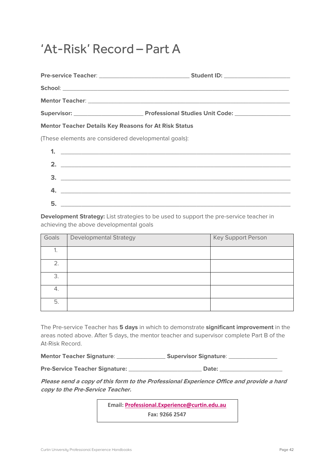### 'At-Risk' Record – Part A

| <b>Mentor Teacher Details Key Reasons for At Risk Status</b> |  |  |  |
|--------------------------------------------------------------|--|--|--|
| (These elements are considered developmental goals):         |  |  |  |
|                                                              |  |  |  |
|                                                              |  |  |  |
| $\overline{\mathbf{3.}}$ $\overline{\mathbf{1.}}$            |  |  |  |
|                                                              |  |  |  |

**Development Strategy:** List strategies to be used to support the pre-service teacher in achieving the above developmental goals

| Goals | <b>Developmental Strategy</b> | Key Support Person |
|-------|-------------------------------|--------------------|
|       |                               |                    |
| 2.    |                               |                    |
| 3.    |                               |                    |
| 4.    |                               |                    |
| 5.    |                               |                    |

The Pre-service Teacher has **5 days** in which to demonstrate **significant improvement** in the areas noted above. After 5 days, the mentor teacher and supervisor complete Part B of the At-Risk Record.

| <b>Mentor Teacher Signature:</b> | <b>Supervisor Signature:</b> |
|----------------------------------|------------------------------|
|                                  |                              |

**Pre-Service Teacher Signature:** \_\_\_\_\_\_\_\_\_\_\_\_\_\_\_\_\_\_\_\_\_ **Date:** \_\_\_\_\_\_\_\_\_\_\_\_\_\_\_\_\_\_

**Please send a copy of this form to the Professional Experience Office and provide a hard copy to the Pre-Service Teacher.** 

> **Email: Professional.Experience@curtin.edu.au Fax: 9266 2547**

**5.**  $\blacksquare$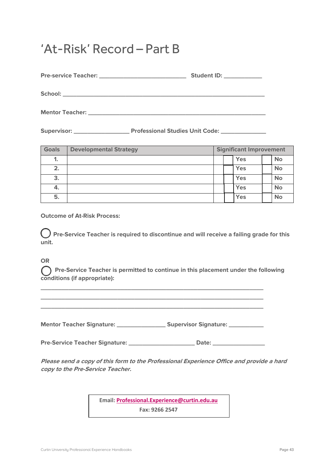### 'At-Risk' Record – Part B

**Pre-service Teacher: \_\_\_\_\_\_\_\_\_\_\_\_\_\_\_\_\_\_\_\_\_\_\_\_\_ Student ID: \_\_\_\_\_\_\_\_\_\_\_**

 $School:$ 

**Mentor Teacher: \_\_\_\_\_\_\_\_\_\_\_\_\_\_\_\_\_\_\_\_\_\_\_\_\_\_\_\_\_\_\_\_\_\_\_\_\_\_\_\_\_\_\_\_\_\_\_\_\_\_\_**

**Supervisor: \_\_\_\_\_\_\_\_\_\_\_\_\_\_\_\_ Professional Studies Unit Code: \_\_\_\_\_\_\_\_\_\_\_\_\_**

| <b>Goals</b> | <b>Developmental Strategy</b> | <b>Significant Improvement</b> |  |            |           |
|--------------|-------------------------------|--------------------------------|--|------------|-----------|
| ٠.           |                               |                                |  | <b>Yes</b> | <b>No</b> |
| 2.           |                               |                                |  | <b>Yes</b> | <b>No</b> |
| 3.           |                               |                                |  | <b>Yes</b> | <b>No</b> |
| 4.           |                               |                                |  | <b>Yes</b> | <b>No</b> |
| 5.           |                               |                                |  | Yes        | <b>No</b> |

**Outcome of At-Risk Process:** 

 **Pre-Service Teacher is required to discontinue and will receive a failing grade for this unit.**

**OR** 

 **Pre-Service Teacher is permitted to continue in this placement under the following conditions (if appropriate):** 

**Mentor Teacher Signature: \_\_\_\_\_\_\_\_\_\_\_\_\_\_ Supervisor Signature: \_\_\_\_\_\_\_\_\_\_**

**\_\_\_\_\_\_\_\_\_\_\_\_\_\_\_\_\_\_\_\_\_\_\_\_\_\_\_\_\_\_\_\_\_\_\_\_\_\_\_\_\_\_\_\_\_\_\_\_\_\_\_\_\_\_\_\_\_\_\_\_\_\_\_\_ \_\_\_\_\_\_\_\_\_\_\_\_\_\_\_\_\_\_\_\_\_\_\_\_\_\_\_\_\_\_\_\_\_\_\_\_\_\_\_\_\_\_\_\_\_\_\_\_\_\_\_\_\_\_\_\_\_\_\_\_\_\_\_\_ \_\_\_\_\_\_\_\_\_\_\_\_\_\_\_\_\_\_\_\_\_\_\_\_\_\_\_\_\_\_\_\_\_\_\_\_\_\_\_\_\_\_\_\_\_\_\_\_\_\_\_\_\_\_\_\_\_\_\_\_\_\_\_\_** 

**Pre-Service Teacher Signature: \_\_\_\_\_\_\_\_\_\_\_\_\_\_\_\_\_\_\_ Date: \_\_\_\_\_\_\_\_\_\_\_\_\_\_\_**

**Please send a copy of this form to the Professional Experience Office and provide a hard copy to the Pre-Service Teacher.** 

> **Email: Professional.Experience@curtin.edu.au Fax: 9266 2547**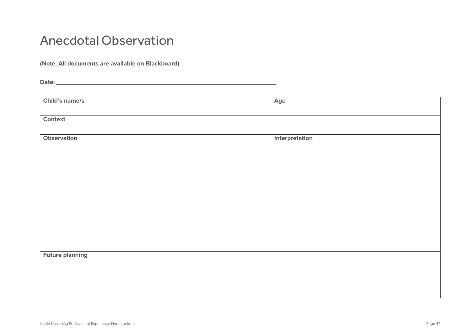### Anecdotal Observation

**(Note: All documents are available on Blackboard)**

**Date: \_\_\_\_\_\_\_\_\_\_\_\_\_\_\_\_\_\_\_\_\_\_\_\_\_\_\_\_\_\_\_\_\_\_\_\_\_\_\_\_\_\_\_\_\_\_\_\_\_\_\_\_\_\_\_\_\_\_\_\_\_\_\_**

| Child's name/s         | Age            |
|------------------------|----------------|
| Context                |                |
| Observation            | Interpretation |
|                        |                |
|                        |                |
|                        |                |
|                        |                |
|                        |                |
|                        |                |
| <b>Future planning</b> |                |
|                        |                |
|                        |                |
|                        |                |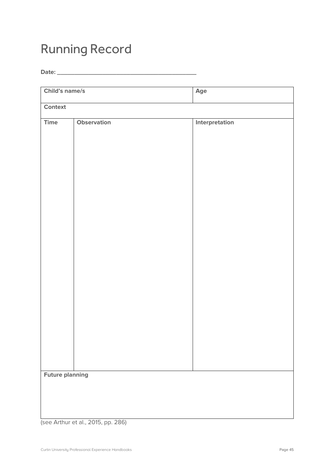### Running Record

**Date: \_\_\_\_\_\_\_\_\_\_\_\_\_\_\_\_\_\_\_\_\_\_\_\_\_\_\_\_\_\_\_\_\_\_\_\_\_\_\_\_**

| Child's name/s         |             |  | Age            |
|------------------------|-------------|--|----------------|
| Context                |             |  |                |
| Time                   | Observation |  | Interpretation |
|                        |             |  |                |
|                        |             |  |                |
|                        |             |  |                |
|                        |             |  |                |
|                        |             |  |                |
|                        |             |  |                |
| <b>Future planning</b> |             |  |                |

(see Arthur et al., 2015, pp. 286)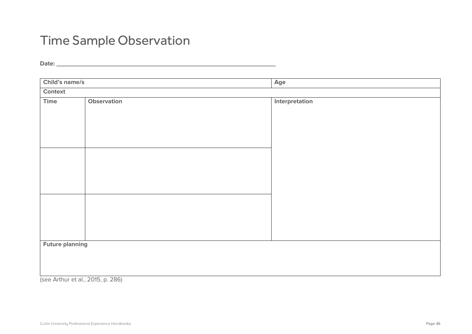### Time Sample Observation

**Date: \_\_\_\_\_\_\_\_\_\_\_\_\_\_\_\_\_\_\_\_\_\_\_\_\_\_\_\_\_\_\_\_\_\_\_\_\_\_\_\_\_\_\_\_\_\_\_\_\_\_\_\_\_\_\_\_\_\_\_\_\_\_\_**

| Child's name/s         |             | Age            |  |
|------------------------|-------------|----------------|--|
| Context                |             |                |  |
| Time                   | Observation | Interpretation |  |
|                        |             |                |  |
|                        |             |                |  |
|                        |             |                |  |
|                        |             |                |  |
|                        |             |                |  |
|                        |             |                |  |
|                        |             |                |  |
|                        |             |                |  |
|                        |             |                |  |
|                        |             |                |  |
|                        |             |                |  |
|                        |             |                |  |
|                        |             |                |  |
|                        |             |                |  |
| <b>Future planning</b> |             |                |  |
|                        |             |                |  |
|                        |             |                |  |

(see Arthur et al., 2015, p. 286)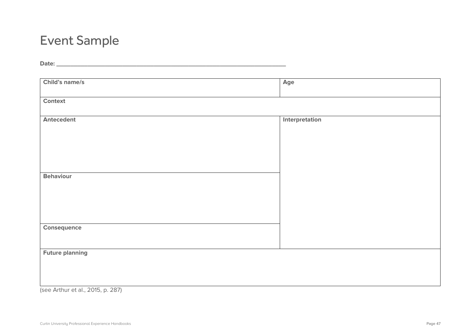### Event Sample

**Date: \_\_\_\_\_\_\_\_\_\_\_\_\_\_\_\_\_\_\_\_\_\_\_\_\_\_\_\_\_\_\_\_\_\_\_\_\_\_\_\_\_\_\_\_\_\_\_\_\_\_\_\_\_\_\_\_\_\_\_\_\_\_\_\_\_\_**

| Child's name/s         | Age            |
|------------------------|----------------|
|                        |                |
|                        |                |
| Context                |                |
|                        |                |
|                        |                |
| <b>Antecedent</b>      | Interpretation |
|                        |                |
|                        |                |
|                        |                |
|                        |                |
|                        |                |
|                        |                |
|                        |                |
|                        |                |
| <b>Behaviour</b>       |                |
|                        |                |
|                        |                |
|                        |                |
|                        |                |
|                        |                |
|                        |                |
|                        |                |
|                        |                |
| Consequence            |                |
|                        |                |
|                        |                |
|                        |                |
| <b>Future planning</b> |                |
|                        |                |
|                        |                |
|                        |                |
|                        |                |
|                        |                |
| $1000 \text{ A}$       |                |

(see Arthur et al., 2015, p. 287)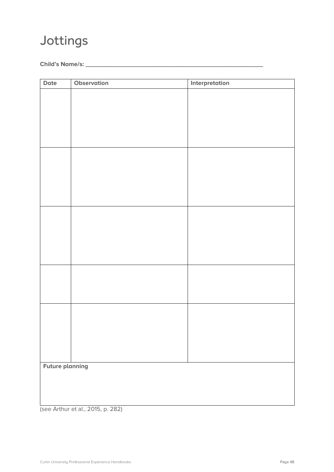### Jottings

### **Child's Name/s: \_\_\_\_\_\_\_\_\_\_\_\_\_\_\_\_\_\_\_\_\_\_\_\_\_\_\_\_\_\_\_\_\_\_\_\_\_\_\_\_\_\_\_\_\_\_\_\_\_\_\_**

| Date                   | <b>Observation</b>                | Interpretation |
|------------------------|-----------------------------------|----------------|
|                        |                                   |                |
|                        |                                   |                |
|                        |                                   |                |
|                        |                                   |                |
|                        |                                   |                |
|                        |                                   |                |
|                        |                                   |                |
|                        |                                   |                |
|                        |                                   |                |
|                        |                                   |                |
|                        |                                   |                |
|                        |                                   |                |
|                        |                                   |                |
|                        |                                   |                |
|                        |                                   |                |
|                        |                                   |                |
|                        |                                   |                |
|                        |                                   |                |
|                        |                                   |                |
|                        |                                   |                |
|                        |                                   |                |
|                        |                                   |                |
|                        |                                   |                |
| <b>Future planning</b> |                                   |                |
|                        |                                   |                |
|                        |                                   |                |
|                        | (see Arthur et al., 2015, p. 282) |                |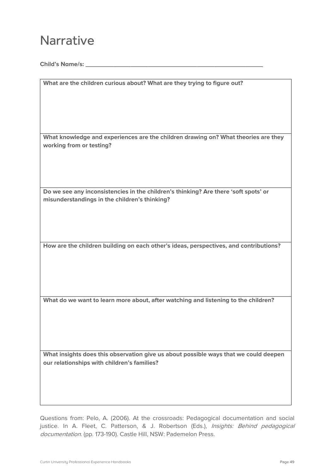### Narrative

**Child's Name/s: \_\_\_\_\_\_\_\_\_\_\_\_\_\_\_\_\_\_\_\_\_\_\_\_\_\_\_\_\_\_\_\_\_\_\_\_\_\_\_\_\_\_\_\_\_\_\_\_\_\_\_**

**What are the children curious about? What are they trying to figure out?**

**What knowledge and experiences are the children drawing on? What theories are they working from or testing?**

**Do we see any inconsistencies in the children's thinking? Are there 'soft spots' or misunderstandings in the children's thinking?**

**How are the children building on each other's ideas, perspectives, and contributions?**

**What do we want to learn more about, after watching and listening to the children?**

**What insights does this observation give us about possible ways that we could deepen our relationships with children's families?**

Questions from: Pelo, A. (2006). At the crossroads: Pedagogical documentation and social justice. In A. Fleet, C. Patterson, & J. Robertson (Eds.), Insights: Behind pedagogical documentation. (pp. 173-190). Castle Hill, NSW: Pademelon Press.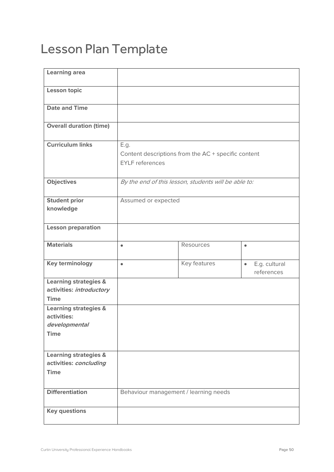### Lesson Plan Template

| <b>Learning area</b>                                                            |                                       |                                                      |                                          |
|---------------------------------------------------------------------------------|---------------------------------------|------------------------------------------------------|------------------------------------------|
| Lesson topic                                                                    |                                       |                                                      |                                          |
| <b>Date and Time</b>                                                            |                                       |                                                      |                                          |
| <b>Overall duration (time)</b>                                                  |                                       |                                                      |                                          |
| <b>Curriculum links</b>                                                         | E.g.<br><b>EYLF</b> references        | Content descriptions from the AC + specific content  |                                          |
| <b>Objectives</b>                                                               |                                       | By the end of this lesson, students will be able to: |                                          |
| <b>Student prior</b><br>knowledge                                               | Assumed or expected                   |                                                      |                                          |
| <b>Lesson preparation</b>                                                       |                                       |                                                      |                                          |
| <b>Materials</b>                                                                | $\bullet$                             | Resources                                            | $\bullet$                                |
| <b>Key terminology</b>                                                          | $\bullet$                             | Key features                                         | E.g. cultural<br>$\bullet$<br>references |
| <b>Learning strategies &amp;</b><br>activities: introductory<br><b>Time</b>     |                                       |                                                      |                                          |
| <b>Learning strategies &amp;</b><br>activities:<br>developmental<br><b>Time</b> |                                       |                                                      |                                          |
| <b>Learning strategies &amp;</b>                                                |                                       |                                                      |                                          |
| activities: concluding<br><b>Time</b>                                           |                                       |                                                      |                                          |
| <b>Differentiation</b>                                                          | Behaviour management / learning needs |                                                      |                                          |
| <b>Key questions</b>                                                            |                                       |                                                      |                                          |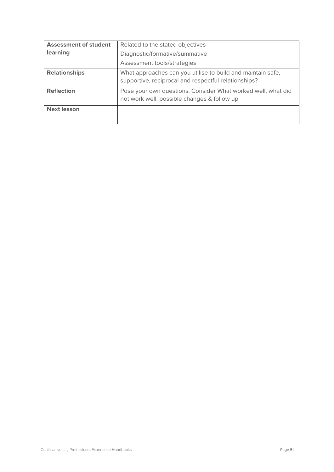| <b>Assessment of student</b> | Related to the stated objectives                                                                                    |
|------------------------------|---------------------------------------------------------------------------------------------------------------------|
| learning                     | Diagnostic/formative/summative                                                                                      |
|                              | Assessment tools/strategies                                                                                         |
| <b>Relationships</b>         | What approaches can you utilise to build and maintain safe,<br>supportive, reciprocal and respectful relationships? |
| <b>Reflection</b>            | Pose your own questions. Consider What worked well, what did<br>not work well, possible changes & follow up         |
| <b>Next lesson</b>           |                                                                                                                     |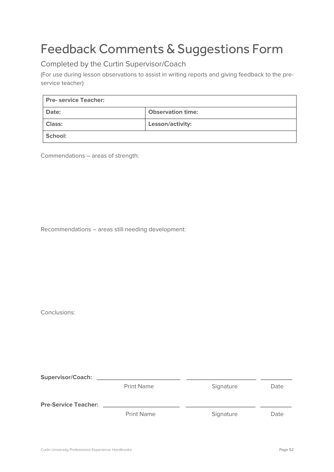### Feedback Comments & Suggestions Form

Completed by the Curtin Supervisor/Coach

(For use during lesson observations to assist in writing reports and giving feedback to the preservice teacher)

| <b>Pre- service Teacher:</b> |                          |  |
|------------------------------|--------------------------|--|
| Date:                        | <b>Observation time:</b> |  |
| <b>Class:</b>                | Lesson/activity:         |  |
| <b>School:</b>               |                          |  |

Commendations – areas of strength:

Recommendations – areas still needing development:

Conclusions:

| <b>Supervisor/Coach:</b>    |                   |           |      |
|-----------------------------|-------------------|-----------|------|
|                             | <b>Print Name</b> | Signature | Date |
| <b>Pre-Service Teacher:</b> |                   |           |      |
|                             | <b>Print Name</b> | Signature | Date |